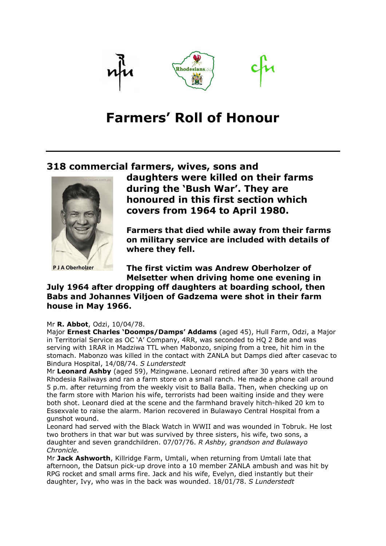

# **Farmers' Roll of Honour**

### **318 commercial farmers, wives, sons and**



**P J A Oberholzer** 

**daughters were killed on their farms during the 'Bush War'. They are honoured in this first section which covers from 1964 to April 1980.** 

**Farmers that died while away from their farms on military service are included with details of where they fell.**

**The first victim was Andrew Oberholzer of Melsetter when driving home one evening in** 

### **July 1964 after dropping off daughters at boarding school, then Babs and Johannes Viljoen of Gadzema were shot in their farm house in May 1966.**

#### Mr **R. Abbot**, Odzi, 10/04/78.

Major **Ernest Charles 'Doomps/Damps' Addams** (aged 45), Hull Farm, Odzi, a Major in Territorial Service as OC 'A' Company, 4RR, was seconded to HQ 2 Bde and was serving with 1RAR in Madziwa TTL when Mabonzo, sniping from a tree, hit him in the stomach. Mabonzo was killed in the contact with ZANLA but Damps died after casevac to Bindura Hospital, 14/08/74. *S Lunderstedt*

Mr **Leonard Ashby** (aged 59), Mzingwane. Leonard retired after 30 years with the Rhodesia Railways and ran a farm store on a small ranch. He made a phone call around 5 p.m. after returning from the weekly visit to Balla Balla. Then, when checking up on the farm store with Marion his wife, terrorists had been waiting inside and they were both shot. Leonard died at the scene and the farmhand bravely hitch-hiked 20 km to Essexvale to raise the alarm. Marion recovered in Bulawayo Central Hospital from a gunshot wound.

Leonard had served with the Black Watch in WWII and was wounded in Tobruk. He lost two brothers in that war but was survived by three sisters, his wife, two sons, a daughter and seven grandchildren. 07/07/76. *R Ashby, grandson and Bulawayo Chronicle.*

Mr **Jack Ashworth**, Killridge Farm, Umtali, when returning from Umtali late that afternoon, the Datsun pick-up drove into a 10 member ZANLA ambush and was hit by RPG rocket and small arms fire. Jack and his wife, Evelyn, died instantly but their daughter, Ivy, who was in the back was wounded. 18/01/78. *S Lunderstedt*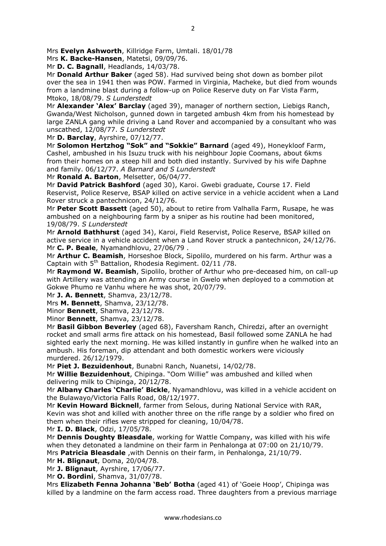Mrs **K. Backe-Hansen**, Matetsi, 09/09/76.

Mr **D. C. Bagnall**, Headlands, 14/03/78.

Mr **Donald Arthur Baker** (aged 58). Had survived being shot down as bomber pilot over the sea in 1941 then was POW. Farmed in Virginia, Macheke, but died from wounds from a landmine blast during a follow-up on Police Reserve duty on Far Vista Farm, Mtoko, 18/08/79. *S Lunderstedt*

Mr **Alexander 'Alex' Barclay** (aged 39), manager of northern section, Liebigs Ranch, Gwanda/West Nicholson, gunned down in targeted ambush 4km from his homestead by large ZANLA gang while driving a Land Rover and accompanied by a consultant who was unscathed, 12/08/77. *S Lunderstedt*

Mr **D. Barclay**, Ayrshire, 07/12/77.

Mr **Solomon Hertzhog "Sok" and "Sokkie" Barnard** (aged 49), Honeykloof Farm, Cashel, ambushed in his Isuzu truck with his neighbour Jopie Coomans, about 6kms from their homes on a steep hill and both died instantly. Survived by his wife Daphne and family. 06/12/77. *A Barnard and S Lunderstedt*

Mr **Ronald A. Barton**, Melsetter, 06/04/77.

Mr **David Patrick Bashford** (aged 30), Karoi. Gwebi graduate, Course 17. Field Reservist, Police Reserve, BSAP killed on active service in a vehicle accident when a Land Rover struck a pantechnicon, 24/12/76.

Mr **Peter Scott Bassett** (aged 50), about to retire from Valhalla Farm, Rusape, he was ambushed on a neighbouring farm by a sniper as his routine had been monitored, 19/08/79. *S Lunderstedt*

Mr **Arnold Bathhurst** (aged 34), Karoi, Field Reservist, Police Reserve, BSAP killed on active service in a vehicle accident when a Land Rover struck a pantechnicon, 24/12/76. Mr **C. P. Beale**, Nyamandhlovu, 27/06/79 .

Mr **Arthur C. Beamish**, Horseshoe Block, Sipolilo, murdered on his farm. Arthur was a Captain with  $5<sup>th</sup>$  Battalion, Rhodesia Regiment. 02/11 /78.

Mr **Raymond W. Beamish**, Sipolilo, brother of Arthur who pre-deceased him, on call-up with Artillery was attending an Army course in Gwelo when deployed to a commotion at Gokwe Phumo re Vanhu where he was shot, 20/07/79.

Mr **J. A. Bennett**, Shamva, 23/12/78.

Mrs **M. Bennett**, Shamva, 23/12/78.

Minor **Bennett**, Shamva, 23/12/78.

Minor **Bennett**, Shamva, 23/12/78.

Mr **Basil Gibbon Beverley** (aged 68), Faversham Ranch, Chiredzi, after an overnight rocket and small arms fire attack on his homestead, Basil followed some ZANLA he had sighted early the next morning. He was killed instantly in gunfire when he walked into an ambush. His foreman, dip attendant and both domestic workers were viciously murdered. 26/12/1979.

Mr **Piet J. Bezuidenhout**, Bunabni Ranch, Nuanetsi, 14/02/78.

Mr **Willie Bezuidenhout**, Chipinga. "Oom Willie" was ambushed and killed when delivering milk to Chipinga, 20/12/78.

Mr **Albany Charles 'Charlie' Bickle**, Nyamandhlovu, was killed in a vehicle accident on the Bulawayo/Victoria Falls Road, 08/12/1977.

Mr **Kevin Howard Bicknell**, farmer from Selous, during National Service with RAR, Kevin was shot and killed with another three on the rifle range by a soldier who fired on them when their rifles were stripped for cleaning, 10/04/78.

Mr **I. D. Black**, Odzi, 17/05/78.

Mr **Dennis Doughty Bleasdale**, working for Wattle Company, was killed with his wife when they detonated a landmine on their farm in Penhalonga at 07:00 on 21/10/79. Mrs **Patricia Bleasdale** ,with Dennis on their farm, in Penhalonga, 21/10/79.

Mr **H. Blignaut**, Doma, 20/04/78.

Mr **J. Blignaut**, Ayrshire, 17/06/77.

Mr **O. Bordini**, Shamva, 31/07/78.

Mrs **Elizabeth Fenna Johanna 'Beb' Botha** (aged 41) of 'Goeie Hoop', Chipinga was killed by a landmine on the farm access road. Three daughters from a previous marriage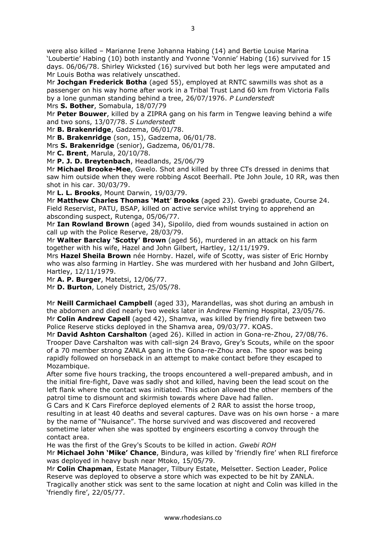were also killed – Marianne Irene Johanna Habing (14) and Bertie Louise Marina 'Loubertie' Habing (10) both instantly and Yvonne 'Vonnie' Habing (16) survived for 15 days. 06/06/78. Shirley Wicksted (16) survived but both her legs were amputated and Mr Louis Botha was relatively unscathed.

Mr **Jochgan Frederick Botha** (aged 55), employed at RNTC sawmills was shot as a passenger on his way home after work in a Tribal Trust Land 60 km from Victoria Falls by a lone gunman standing behind a tree, 26/07/1976. *P Lunderstedt*

Mrs **S. Bother**, Somabula, 18/07/79

Mr **Peter Bouwer**, killed by a ZIPRA gang on his farm in Tengwe leaving behind a wife and two sons, 13/07/78. *S Lunderstedt*

Mr **B. Brakenridge**, Gadzema, 06/01/78.

Mr **B. Brakenridge** (son, 15), Gadzema, 06/01/78.

Mrs **S. Brakenridge** (senior), Gadzema, 06/01/78.

Mr **C. Brent**, Marula, 20/10/78.

Mr **P. J. D. Breytenbach**, Headlands, 25/06/79

Mr **Michael Brooke-Mee**, Gwelo. Shot and killed by three CTs dressed in denims that saw him outside when they were robbing Ascot Beerhall. Pte John Joule, 10 RR, was then shot in his car. 30/03/79.

Mr **L. L. Brooks**, Mount Darwin, 19/03/79.

Mr **Matthew Charles Thomas 'Matt**' **Brooks** (aged 23). Gwebi graduate, Course 24. Field Reservist, PATU, BSAP, killed on active service whilst trying to apprehend an absconding suspect, Rutenga, 05/06/77.

Mr **Ian Rowland Brown** (aged 34), Sipolilo, died from wounds sustained in action on call up with the Police Reserve, 28/03/79.

Mr **Walter Barclay 'Scotty' Brown** (aged 56), murdered in an attack on his farm together with his wife, Hazel and John Gilbert, Hartley, 12/11/1979.

Mrs **Hazel Sheila Brown** née Hornby. Hazel, wife of Scotty, was sister of Eric Hornby who was also farming in Hartley. She was murdered with her husband and John Gilbert, Hartley, 12/11/1979.

Mr **A. P. Burger**, Matetsi, 12/06/77.

Mr **D. Burton**, Lonely District, 25/05/78.

Mr **Neill Carmichael Campbell** (aged 33), Marandellas, was shot during an ambush in the abdomen and died nearly two weeks later in Andrew Fleming Hospital, 23/05/76. Mr **Colin Andrew Capell** (aged 42), Shamva, was killed by friendly fire between two Police Reserve sticks deployed in the Shamva area, 09/03/77. KOAS.

Mr **David Ashton Carshalton** (aged 26). Killed in action in Gona-re-Zhou, 27/08/76. Trooper Dave Carshalton was with call-sign 24 Bravo, Grey's Scouts, while on the spoor of a 70 member strong ZANLA gang in the Gona-re-Zhou area. The spoor was being rapidly followed on horseback in an attempt to make contact before they escaped to Mozambique.

After some five hours tracking, the troops encountered a well-prepared ambush, and in the initial fire-fight, Dave was sadly shot and killed, having been the lead scout on the left flank where the contact was initiated. This action allowed the other members of the patrol time to dismount and skirmish towards where Dave had fallen.

G Cars and K Cars Fireforce deployed elements of 2 RAR to assist the horse troop, resulting in at least 40 deaths and several captures. Dave was on his own horse - a mare by the name of "Nuisance". The horse survived and was discovered and recovered sometime later when she was spotted by engineers escorting a convoy through the contact area.

He was the first of the Grey's Scouts to be killed in action. *Gwebi ROH*

Mr **Michael John 'Mike' Chance**, Bindura, was killed by 'friendly fire' when RLI fireforce was deployed in heavy bush near Mtoko, 15/05/79.

Mr **Colin Chapman**, Estate Manager, Tilbury Estate, Melsetter. Section Leader, Police Reserve was deployed to observe a store which was expected to be hit by ZANLA. Tragically another stick was sent to the same location at night and Colin was killed in the 'friendly fire', 22/05/77.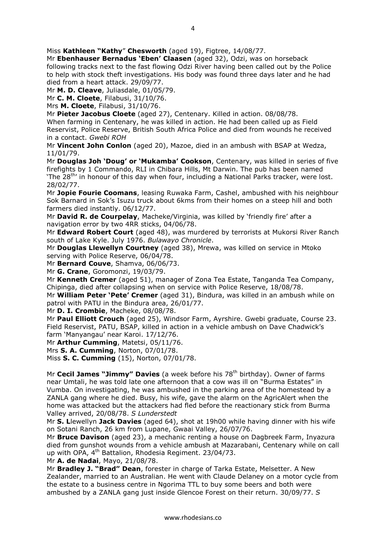Miss **Kathleen "Kathy**" **Chesworth** (aged 19), Figtree, 14/08/77.

Mr **Ebenhauser Bernadus 'Eben' Claasen** (aged 32), Odzi, was on horseback following tracks next to the fast flowing Odzi River having been called out by the Police to help with stock theft investigations. His body was found three days later and he had died from a heart attack. 29/09/77.

Mr **M. D. Cleave**, Juliasdale, 01/05/79.

Mr **C. M. Cloete**, Filabusi, 31/10/76.

Mrs **M. Cloete**, Filabusi, 31/10/76.

Mr **Pieter Jacobus Cloete** (aged 27), Centenary. Killed in action. 08/08/78.

When farming in Centenary, he was killed in action. He had been called up as Field Reservist, Police Reserve, British South Africa Police and died from wounds he received in a contact. *Gwebi ROH*

Mr **Vincent John Conlon** (aged 20), Mazoe, died in an ambush with BSAP at Wedza, 11/01/79.

Mr **Douglas Joh 'Doug' or 'Mukamba' Cookson**, Centenary, was killed in series of five firefights by 1 Commando, RLI in Chibara Hills, Mt Darwin. The pub has been named 'The 28<sup>th'</sup> in honour of this day when four, including a National Parks tracker, were lost. 28/02/77.

Mr **Jopie Fourie Coomans**, leasing Ruwaka Farm, Cashel, ambushed with his neighbour Sok Barnard in Sok's Isuzu truck about 6kms from their homes on a steep hill and both farmers died instantly. 06/12/77.

Mr **David R. de Courpelay**, Macheke/Virginia, was killed by 'friendly fire' after a navigation error by two 4RR sticks, 04/06/78.

Mr **Edward Robert Court** (aged 48), was murdered by terrorists at Mukorsi River Ranch south of Lake Kyle. July 1976. *Bulawayo Chronicle*.

Mr **Douglas Llewellyn Courtney** (aged 38), Mrewa, was killed on service in Mtoko serving with Police Reserve, 06/04/78.

Mr **Bernard Couve**, Shamva, 06/06/73.

Mr **G. Crane**, Goromonzi, 19/03/79.

Mr **Kenneth Cremer** (aged 51), manager of Zona Tea Estate, Tanganda Tea Company, Chipinga, died after collapsing when on service with Police Reserve, 18/08/78.

Mr **William Peter 'Pete' Cremer** (aged 31), Bindura, was killed in an ambush while on patrol with PATU in the Bindura area, 26/01/77.

Mr **D. I. Crombie**, Macheke, 08/08/78.

Mr **Paul Elliott Crouch** (aged 25), Windsor Farm, Ayrshire. Gwebi graduate, Course 23. Field Reservist, PATU, BSAP, killed in action in a vehicle ambush on Dave Chadwick's farm 'Manyangau' near Karoi. 17/12/76.

Mr **Arthur Cumming**, Matetsi, 05/11/76.

Mrs **S. A. Cumming**, Norton, 07/01/78.

Miss **S. C. Cumming** (15), Norton, 07/01/78.

Mr **Cecil James "Jimmy" Davies** (a week before his 78<sup>th</sup> birthday). Owner of farms near Umtali, he was told late one afternoon that a cow was ill on "Burma Estates" in Vumba. On investigating, he was ambushed in the parking area of the homestead by a ZANLA gang where he died. Busy, his wife, gave the alarm on the AgricAlert when the home was attacked but the attackers had fled before the reactionary stick from Burma Valley arrived, 20/08/78. *S Lunderstedt*

Mr **S. L**lewellyn **Jack Davies** (aged 64), shot at 19h00 while having dinner with his wife on Sotani Ranch, 26 km from Lupane, Gwaai Valley, 26/07/76.

Mr **Bruce Davison** (aged 23), a mechanic renting a house on Dagbreek Farm, Inyazura died from gunshot wounds from a vehicle ambush at Mazarabani, Centenary while on call up with OPA, 4<sup>th</sup> Battalion, Rhodesia Regiment. 23/04/73.

Mr **A. de Nadai**, Mayo, 21/08/78.

Mr **Bradley J. "Brad" Dean**, forester in charge of Tarka Estate, Melsetter. A New Zealander, married to an Australian. He went with Claude Delaney on a motor cycle from the estate to a business centre in Ngorima TTL to buy some beers and both were ambushed by a ZANLA gang just inside Glencoe Forest on their return. 30/09/77. *S*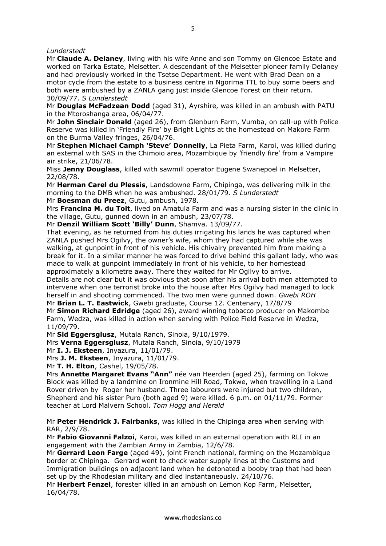#### *Lunderstedt*

Mr **Claude A. Delaney**, living with his wife Anne and son Tommy on Glencoe Estate and worked on Tarka Estate, Melsetter. A descendant of the Melsetter pioneer family Delaney and had previously worked in the Tsetse Department. He went with Brad Dean on a motor cycle from the estate to a business centre in Ngorima TTL to buy some beers and both were ambushed by a ZANLA gang just inside Glencoe Forest on their return. 30/09/77. *S Lunderstedt*

Mr **Douglas McFadzean Dodd** (aged 31), Ayrshire, was killed in an ambush with PATU in the Mtoroshanga area, 06/04/77.

Mr **John Sinclair Donald** (aged 26), from Glenburn Farm, Vumba, on call-up with Police Reserve was killed in 'Friendly Fire' by Bright Lights at the homestead on Makore Farm on the Burma Valley fringes, 26/04/76.

Mr **Stephen Michael Camph 'Steve' Donnelly**, La Pieta Farm, Karoi, was killed during an external with SAS in the Chimoio area, Mozambique by 'friendly fire' from a Vampire air strike, 21/06/78.

Miss **Jenny Douglass**, killed with sawmill operator Eugene Swanepoel in Melsetter, 22/08/78.

Mr **Herman Carel du Plessis**, Landsdowne Farm, Chipinga, was delivering milk in the morning to the DMB when he was ambushed. 28/01/79. *S Lunderstedt*

Mr **Boesman du Preez**, Gutu, ambush, 1978.

Mrs **Francina M. du Toit**, lived on Amatula Farm and was a nursing sister in the clinic in the village, Gutu, gunned down in an ambush, 23/07/78.

Mr **Denzil William Scott 'Billy' Dunn**, Shamva. 13/09/77.

That evening, as he returned from his duties irrigating his lands he was captured when ZANLA pushed Mrs Ogilvy, the owner's wife, whom they had captured while she was walking, at gunpoint in front of his vehicle. His chivalry prevented him from making a break for it. In a similar manner he was forced to drive behind this gallant lady, who was made to walk at gunpoint immediately in front of his vehicle, to her homestead approximately a kilometre away. There they waited for Mr Ogilvy to arrive.

Details are not clear but it was obvious that soon after his arrival both men attempted to intervene when one terrorist broke into the house after Mrs Ogilvy had managed to lock herself in and shooting commenced. The two men were gunned down. *Gwebi ROH* Mr **Brian L. T. Eastwick**, Gwebi graduate, Course 12. Centenary, 17/8/79

Mr **Simon Richard Edridge** (aged 26), award winning tobacco producer on Makombe Farm, Wedza, was killed in action when serving with Police Field Reserve in Wedza, 11/09/79.

Mr **Sid Eggersglusz**, Mutala Ranch, Sinoia, 9/10/1979.

Mrs **Verna Eggersglusz**, Mutala Ranch, Sinoia, 9/10/1979

Mr **I. J. Eksteen**, Inyazura, 11/01/79.

Mrs **J. M. Eksteen**, Inyazura, 11/01/79.

Mr **T. H. Elton**, Cashel, 19/05/78.

Mrs **Annette Margaret Evans "Ann"** née van Heerden (aged 25), farming on Tokwe Block was killed by a landmine on Ironmine Hill Road, Tokwe, when travelling in a Land Rover driven by Roger her husband. Three labourers were injured but two children, Shepherd and his sister Puro (both aged 9) were killed. 6 p.m. on 01/11/79. Former teacher at Lord Malvern School. *Tom Hogg and Herald*

Mr **Peter Hendrick J. Fairbanks**, was killed in the Chipinga area when serving with RAR, 2/9/78.

Mr **Fabio Giovanni Falzoi**, Karoi, was killed in an external operation with RLI in an engagement with the Zambian Army in Zambia, 12/6/78.

Mr **Gerrard Leon Farge** (aged 49), joint French national, farming on the Mozambique border at Chipinga. Gerrard went to check water supply lines at the Customs and Immigration buildings on adjacent land when he detonated a booby trap that had been set up by the Rhodesian military and died instantaneously. 24/10/76.

Mr **Herbert Fenzel**, forester killed in an ambush on Lemon Kop Farm, Melsetter, 16/04/78.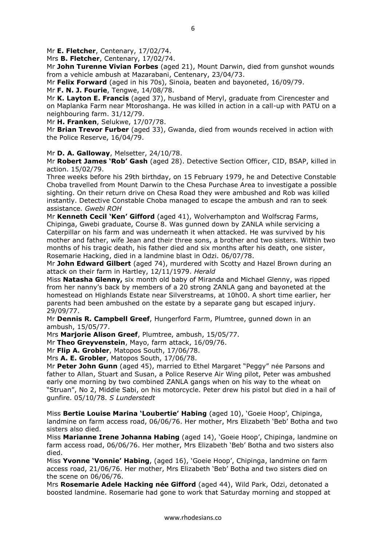Mr **E. Fletcher**, Centenary, 17/02/74.

Mrs **B. Fletcher**, Centenary, 17/02/74.

Mr **John Turenne Vivian Forbes** (aged 21), Mount Darwin, died from gunshot wounds from a vehicle ambush at Mazarabani, Centenary, 23/04/73.

Mr **Felix Forward** (aged in his 70s), Sinoia, beaten and bayoneted, 16/09/79.

Mr **F. N. J. Fourie**, Tengwe, 14/08/78.

Mr **K. Layton E. Francis** (aged 37), husband of Meryl, graduate from Cirencester and on Maplanka Farm near Mtoroshanga. He was killed in action in a call-up with PATU on a neighbouring farm. 31/12/79.

Mr **H. Franken**, Selukwe, 17/07/78.

Mr **Brian Trevor Furber** (aged 33), Gwanda, died from wounds received in action with the Police Reserve, 16/04/79.

Mr **D. A. Galloway**, Melsetter, 24/10/78.

Mr **Robert James 'Rob' Gash** (aged 28). Detective Section Officer, CID, BSAP, killed in action. 15/02/79.

Three weeks before his 29th birthday, on 15 February 1979, he and Detective Constable Choba travelled from Mount Darwin to the Chesa Purchase Area to investigate a possible sighting. On their return drive on Chesa Road they were ambushed and Rob was killed instantly. Detective Constable Choba managed to escape the ambush and ran to seek assistance. *Gwebi ROH*

Mr **Kenneth Cecil 'Ken' Gifford** (aged 41), Wolverhampton and Wolfscrag Farms, Chipinga, Gwebi graduate, Course 8. Was gunned down by ZANLA while servicing a Caterpillar on his farm and was underneath it when attacked. He was survived by his mother and father, wife Jean and their three sons, a brother and two sisters. Within two months of his tragic death, his father died and six months after his death, one sister, Rosemarie Hacking, died in a landmine blast in Odzi. 06/07/78.

Mr **John Edward Gilbert** (aged 74), murdered with Scotty and Hazel Brown during an attack on their farm in Hartley, 12/11/1979. *Herald*

Miss **Natasha Glenny,** six month old baby of Miranda and Michael Glenny, was ripped from her nanny's back by members of a 20 strong ZANLA gang and bayoneted at the homestead on Highlands Estate near Silverstreams, at 10h00. A short time earlier, her parents had been ambushed on the estate by a separate gang but escaped injury. 29/09/77.

Mr **Dennis R. Campbell Greef**, Hungerford Farm, Plumtree, gunned down in an ambush, 15/05/77.

Mrs **Marjorie Alison Greef**, Plumtree, ambush, 15/05/77.

Mr **Theo Greyvenstein**, Mayo, farm attack, 16/09/76.

Mr **Flip A. Grobler**, Matopos South, 17/06/78.

Mrs **A. E. Grobler**, Matopos South, 17/06/78.

Mr **Peter John Gunn** (aged 45), married to Ethel Margaret "Peggy" née Parsons and father to Allan, Stuart and Susan, a Police Reserve Air Wing pilot, Peter was ambushed early one morning by two combined ZANLA gangs when on his way to the wheat on "Struan", No 2, Middle Sabi, on his motorcycle. Peter drew his pistol but died in a hail of gunfire. 05/10/78. *S Lunderstedt*

Miss **Bertie Louise Marina 'Loubertie' Habing** (aged 10), 'Goeie Hoop', Chipinga, landmine on farm access road, 06/06/76. Her mother, Mrs Elizabeth 'Beb' Botha and two sisters also died.

Miss **Marianne Irene Johanna Habing** (aged 14), 'Goeie Hoop', Chipinga, landmine on farm access road, 06/06/76. Her mother, Mrs Elizabeth 'Beb' Botha and two sisters also died.

Miss **Yvonne 'Vonnie' Habing**, (aged 16), 'Goeie Hoop', Chipinga, landmine on farm access road, 21/06/76. Her mother, Mrs Elizabeth 'Beb' Botha and two sisters died on the scene on 06/06/76.

Mrs **Rosemarie Adele Hacking née Gifford** (aged 44), Wild Park, Odzi, detonated a boosted landmine. Rosemarie had gone to work that Saturday morning and stopped at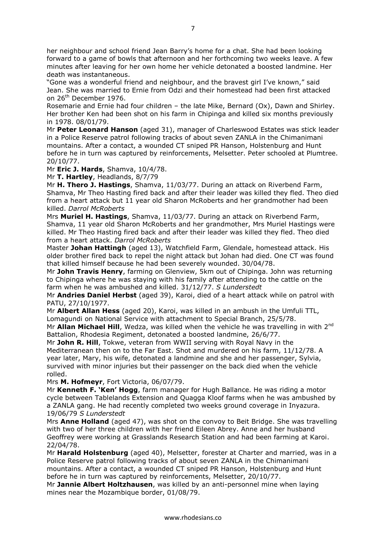her neighbour and school friend Jean Barry's home for a chat. She had been looking forward to a game of bowls that afternoon and her forthcoming two weeks leave. A few minutes after leaving for her own home her vehicle detonated a boosted landmine. Her death was instantaneous.

"Gone was a wonderful friend and neighbour, and the bravest girl I've known," said Jean. She was married to Ernie from Odzi and their homestead had been first attacked on 26th December 1976.

Rosemarie and Ernie had four children – the late Mike, Bernard (Ox), Dawn and Shirley. Her brother Ken had been shot on his farm in Chipinga and killed six months previously in 1978. 08/01/79.

Mr **Peter Leonard Hanson** (aged 31), manager of Charleswood Estates was stick leader in a Police Reserve patrol following tracks of about seven ZANLA in the Chimanimani mountains. After a contact, a wounded CT sniped PR Hanson, Holstenburg and Hunt before he in turn was captured by reinforcements, Melsetter. Peter schooled at Plumtree. 20/10/77.

Mr **Eric J. Hards**, Shamva, 10/4/78.

Mr **T. Hartley**, Headlands, 8/7/79

Mr **H. Thero J. Hastings**, Shamva, 11/03/77. During an attack on Riverbend Farm, Shamva, Mr Theo Hasting fired back and after their leader was killed they fled. Theo died from a heart attack but 11 year old Sharon McRoberts and her grandmother had been killed. *Darrol McRoberts*

Mrs **Muriel H. Hastings**, Shamva, 11/03/77. During an attack on Riverbend Farm, Shamva, 11 year old Sharon McRoberts and her grandmother, Mrs Muriel Hastings were killed. Mr Theo Hasting fired back and after their leader was killed they fled. Theo died from a heart attack. *Darrol McRoberts*

Master **Johan Hattingh** (aged 13), Watchfield Farm, Glendale, homestead attack. His older brother fired back to repel the night attack but Johan had died. One CT was found that killed himself because he had been severely wounded. 30/04/78.

Mr **John Travis Henry**, farming on Glenview, 5km out of Chipinga. John was returning to Chipinga where he was staying with his family after attending to the cattle on the farm when he was ambushed and killed. 31/12/77. *S Lunderstedt*

Mr **Andries Daniel Herbst** (aged 39), Karoi, died of a heart attack while on patrol with PATU, 27/10/1977.

Mr **Albert Allan Hess** (aged 20), Karoi, was killed in an ambush in the Umfuli TTL, Lomagundi on National Service with attachment to Special Branch, 25/5/78.

Mr **Allan Michael Hill**, Wedza, was killed when the vehicle he was travelling in with 2<sup>nd</sup> Battalion, Rhodesia Regiment, detonated a boosted landmine, 26/6/77.

Mr **John R. Hill**, Tokwe, veteran from WWII serving with Royal Navy in the Mediterranean then on to the Far East. Shot and murdered on his farm, 11/12/78. A year later, Mary, his wife, detonated a landmine and she and her passenger, Sylvia, survived with minor injuries but their passenger on the back died when the vehicle rolled.

Mrs **M. Hofmeyr**, Fort Victoria, 06/07/79.

Mr **Kenneth F. 'Ken' Hogg**, farm manager for Hugh Ballance. He was riding a motor cycle between Tablelands Extension and Quagga Kloof farms when he was ambushed by a ZANLA gang. He had recently completed two weeks ground coverage in Inyazura. 19/06/79 *S Lunderstedt*

Mrs **Anne Holland** (aged 47), was shot on the convoy to Beit Bridge. She was travelling with two of her three children with her friend Eileen Abrey. Anne and her husband Geoffrey were working at Grasslands Research Station and had been farming at Karoi. 22/04/78.

Mr **Harald Holstenburg** (aged 40), Melsetter, forester at Charter and married, was in a Police Reserve patrol following tracks of about seven ZANLA in the Chimanimani mountains. After a contact, a wounded CT sniped PR Hanson, Holstenburg and Hunt before he in turn was captured by reinforcements, Melsetter, 20/10/77.

Mr **Jannie Albert Holtzhausen**, was killed by an anti-personnel mine when laying mines near the Mozambique border, 01/08/79.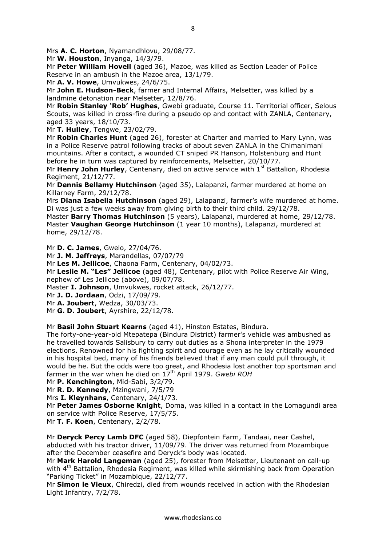Mrs **A. C. Horton**, Nyamandhlovu, 29/08/77.

Mr **W. Houston**, Inyanga, 14/3/79.

Mr **Peter William Hovell** (aged 36), Mazoe, was killed as Section Leader of Police Reserve in an ambush in the Mazoe area, 13/1/79.

Mr **A. V. Howe**, Umvukwes, 24/6/75.

Mr **John E. Hudson-Beck**, farmer and Internal Affairs, Melsetter, was killed by a landmine detonation near Melsetter, 12/8/76.

Mr **Robin Stanley 'Rob' Hughes**, Gwebi graduate, Course 11. Territorial officer, Selous Scouts, was killed in cross-fire during a pseudo op and contact with ZANLA, Centenary, aged 33 years, 18/10/73.

Mr **T. Hulley**, Tengwe, 23/02/79.

Mr **Robin Charles Hunt** (aged 26), forester at Charter and married to Mary Lynn, was in a Police Reserve patrol following tracks of about seven ZANLA in the Chimanimani mountains. After a contact, a wounded CT sniped PR Hanson, Holstenburg and Hunt before he in turn was captured by reinforcements, Melsetter, 20/10/77.

Mr **Henry John Hurley**, Centenary, died on active service with 1<sup>st</sup> Battalion, Rhodesia Regiment, 21/12/77.

Mr **Dennis Bellamy Hutchinson** (aged 35), Lalapanzi, farmer murdered at home on Killarney Farm, 29/12/78.

Mrs **Diana Isabella Hutchinson** (aged 29), Lalapanzi, farmer's wife murdered at home. Di was just a few weeks away from giving birth to their third child. 29/12/78.

Master **Barry Thomas Hutchinson** (5 years), Lalapanzi, murdered at home, 29/12/78. Master **Vaughan George Hutchinson** (1 year 10 months), Lalapanzi, murdered at home, 29/12/78.

Mr **D. C. James**, Gwelo, 27/04/76.

Mr **J. M. Jeffreys**, Marandellas, 07/07/79

Mr **Les M. Jellicoe**, Chaona Farm, Centenary, 04/02/73.

Mr **Leslie M. "Les" Jellicoe** (aged 48), Centenary, pilot with Police Reserve Air Wing, nephew of Les Jellicoe (above), 09/07/78.

Master **I. Johnson**, Umvukwes, rocket attack, 26/12/77.

Mr **J. D. Jordaan**, Odzi, 17/09/79.

Mr **A. Joubert**, Wedza, 30/03/73.

Mr **G. D. Joubert**, Ayrshire, 22/12/78.

Mr **Basil John Stuart Kearns** (aged 41), Hinston Estates, Bindura.

The forty-one-year-old Mtepatepa (Bindura District) farmer's vehicle was ambushed as he travelled towards Salisbury to carry out duties as a Shona interpreter in the 1979 elections. Renowned for his fighting spirit and courage even as he lay critically wounded in his hospital bed, many of his friends believed that if any man could pull through, it would be he. But the odds were too great, and Rhodesia lost another top sportsman and farmer in the war when he died on 17th April 1979. *Gwebi ROH*

Mr **P. Kenchington**, Mid-Sabi, 3/2/79.

Mr **R. D. Kennedy**, Mzingwani, 7/5/79

Mrs **I. Kleynhans**, Centenary, 24/1/73.

Mr **Peter James Osborne Knight**, Doma, was killed in a contact in the Lomagundi area on service with Police Reserve, 17/5/75.

Mr **T. F. Koen**, Centenary, 2/2/78.

Mr **Deryck Percy Lamb DFC** (aged 58), Diepfontein Farm, Tandaai, near Cashel, abducted with his tractor driver, 11/09/79. The driver was returned from Mozambique after the December ceasefire and Deryck's body was located.

Mr **Mark Harold Langeman** (aged 25), forester from Melsetter, Lieutenant on call-up with 4<sup>th</sup> Battalion, Rhodesia Regiment, was killed while skirmishing back from Operation "Parking Ticket" in Mozambique, 22/12/77.

Mr **Simon le Vieux**, Chiredzi, died from wounds received in action with the Rhodesian Light Infantry, 7/2/78.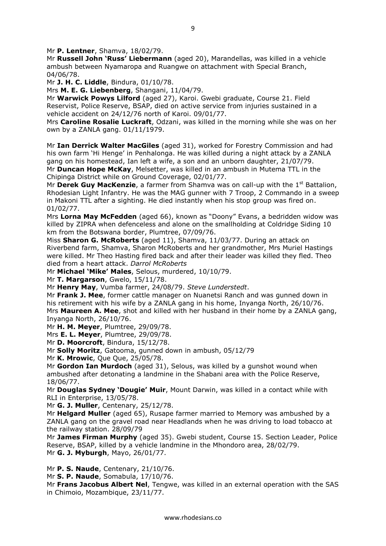Mr **P. Lentner**, Shamva, 18/02/79.

Mr **Russell John 'Russ' Liebermann** (aged 20), Marandellas, was killed in a vehicle ambush between Nyamaropa and Ruangwe on attachment with Special Branch, 04/06/78.

Mr **J. H. C. Liddle**, Bindura, 01/10/78.

Mrs **M. E. G. Liebenberg**, Shangani, 11/04/79.

Mr **Warwick Powys Lilford** (aged 27), Karoi. Gwebi graduate, Course 21. Field Reservist, Police Reserve, BSAP, died on active service from injuries sustained in a vehicle accident on 24/12/76 north of Karoi. 09/01/77.

Mrs **Caroline Rosalie Luckraft**, Odzani, was killed in the morning while she was on her own by a ZANLA gang. 01/11/1979.

Mr **Ian Derrick Walter MacGiles** (aged 31), worked for Forestry Commission and had his own farm 'Hi Henge' in Penhalonga. He was killed during a night attack by a ZANLA gang on his homestead, Ian left a wife, a son and an unborn daughter, 21/07/79. Mr **Duncan Hope McKay**, Melsetter, was killed in an ambush in Mutema TTL in the Chipinga District while on Ground Coverage, 02/01/77.

Mr **Derek Guy MacKenzie**, a farmer from Shamva was on call-up with the 1<sup>st</sup> Battalion, Rhodesian Light Infantry. He was the MAG gunner with 7 Troop, 2 Commando in a sweep in Makoni TTL after a sighting. He died instantly when his stop group was fired on. 01/02/77.

Mrs **Lorna May McFedden** (aged 66), known as "Doony" Evans, a bedridden widow was killed by ZIPRA when defenceless and alone on the smallholding at Coldridge Siding 10 km from the Botswana border, Plumtree, 07/09/76.

Miss **Sharon G. McRoberts** (aged 11), Shamva, 11/03/77. During an attack on Riverbend farm, Shamva, Sharon McRoberts and her grandmother, Mrs Muriel Hastings were killed. Mr Theo Hasting fired back and after their leader was killed they fled. Theo died from a heart attack. *Darrol McRoberts*

Mr **Michael 'Mike' Males**, Selous, murdered, 10/10/79.

Mr **T. Margarson**, Gwelo, 15/11/78.

Mr **Henry May**, Vumba farmer, 24/08/79. *Steve Lunderstedt*.

Mr **Frank J. Mee**, former cattle manager on Nuanetsi Ranch and was gunned down in his retirement with his wife by a ZANLA gang in his home, Inyanga North, 26/10/76. Mrs **Maureen A. Mee**, shot and killed with her husband in their home by a ZANLA gang, Inyanga North, 26/10/76.

Mr **H. M. Meyer**, Plumtree, 29/09/78.

Mrs **E. L. Meyer**, Plumtree, 29/09/78.

Mr **D. Moorcroft**, Bindura, 15/12/78.

Mr **Solly Moritz**, Gatooma, gunned down in ambush, 05/12/79

Mr **K. Mrowic**, Que Que, 25/05/78.

Mr **Gordon Ian Murdoch** (aged 31), Selous, was killed by a gunshot wound when ambushed after detonating a landmine in the Shabani area with the Police Reserve, 18/06/77.

Mr **Douglas Sydney 'Dougie' Muir**, Mount Darwin, was killed in a contact while with RLI in Enterprise, 13/05/78.

Mr **G. J. Muller**, Centenary, 25/12/78.

Mr **Helgard Muller** (aged 65), Rusape farmer married to Memory was ambushed by a ZANLA gang on the gravel road near Headlands when he was driving to load tobacco at the railway station. 28/09/79

Mr **James Firman Murphy** (aged 35). Gwebi student, Course 15. Section Leader, Police Reserve, BSAP, killed by a vehicle landmine in the Mhondoro area, 28/02/79. Mr **G. J. Myburgh**, Mayo, 26/01/77.

Mr **P. S. Naude**, Centenary, 21/10/76.

Mr **S. P. Naude**, Somabula, 17/10/76.

Mr **Frans Jacobus Albert Nel**, Tengwe, was killed in an external operation with the SAS in Chimoio, Mozambique, 23/11/77.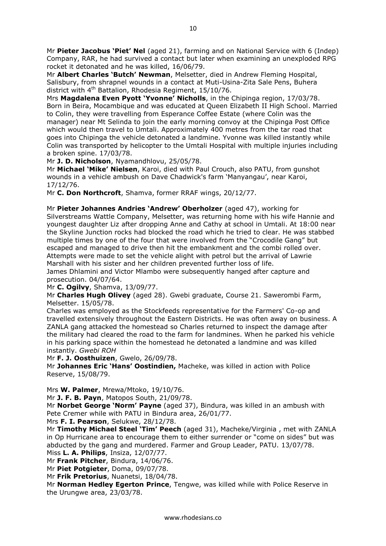Mr **Albert Charles 'Butch' Newman**, Melsetter, died in Andrew Fleming Hospital, Salisbury, from shrapnel wounds in a contact at Muti-Usina-Zita Sale Pens, Buhera district with 4<sup>th</sup> Battalion, Rhodesia Regiment, 15/10/76.

Mrs **Magdalena Even Pyott 'Yvonne' Nicholls**, in the Chipinga region, 17/03/78. Born in Beira, Mocambique and was educated at Queen Elizabeth II High School. Married to Colin, they were travelling from Esperance Coffee Estate (where Colin was the manager) near Mt Selinda to join the early morning convoy at the Chipinga Post Office which would then travel to Umtali. Approximately 400 metres from the tar road that goes into Chipinga the vehicle detonated a landmine. Yvonne was killed instantly while Colin was transported by helicopter to the Umtali Hospital with multiple injuries including a broken spine. 17/03/78.

Mr **J. D. Nicholson**, Nyamandhlovu, 25/05/78.

Mr **Michael 'Mike' Nielsen**, Karoi, died with Paul Crouch, also PATU, from gunshot wounds in a vehicle ambush on Dave Chadwick's farm 'Manyangau', near Karoi, 17/12/76.

Mr **C. Don Northcroft**, Shamva, former RRAF wings, 20/12/77.

Mr **Pieter Johannes Andries 'Andrew' Oberholzer** (aged 47), working for Silverstreams Wattle Company, Melsetter, was returning home with his wife Hannie and youngest daughter Liz after dropping Anne and Cathy at school in Umtali. At 18:00 near the Skyline Junction rocks had blocked the road which he tried to clear. He was stabbed multiple times by one of the four that were involved from the "Crocodile Gang" but escaped and managed to drive then hit the embankment and the combi rolled over. Attempts were made to set the vehicle alight with petrol but the arrival of Lawrie Marshall with his sister and her children prevented further loss of life.

James Dhlamini and Victor Mlambo were subsequently hanged after capture and prosecution. 04/07/64.

Mr **C. Ogilvy**, Shamva, 13/09/77.

Mr **Charles Hugh Olivey** (aged 28). Gwebi graduate, Course 21. Sawerombi Farm, Melsetter. 15/05/78.

Charles was employed as the Stockfeeds representative for the Farmers' Co-op and travelled extensively throughout the Eastern Districts. He was often away on business. A ZANLA gang attacked the homestead so Charles returned to inspect the damage after the military had cleared the road to the farm for landmines. When he parked his vehicle in his parking space within the homestead he detonated a landmine and was killed instantly. *Gwebi ROH*

Mr **F. J. Oosthuizen**, Gwelo, 26/09/78.

Mr **Johannes Eric 'Hans' Oostindien,** Macheke, was killed in action with Police Reserve, 15/08/79.

Mrs **W. Palmer**, Mrewa/Mtoko, 19/10/76.

Mr **J. F. B. Payn**, Matopos South, 21/09/78.

Mr **Norbet George 'Norm' Payne** (aged 37), Bindura, was killed in an ambush with Pete Cremer while with PATU in Bindura area, 26/01/77.

Mrs **F. I. Pearson**, Selukwe, 28/12/78.

Mr **Timothy Michael Steel 'Tim' Peech** (aged 31), Macheke/Virginia , met with ZANLA in Op Hurricane area to encourage them to either surrender or "come on sides" but was abducted by the gang and murdered. Farmer and Group Leader, PATU. 13/07/78. Miss **L. A. Philips**, Insiza, 12/07/77.

Mr **Frank Pitcher**, Bindura, 14/06/76.

Mr **Piet Potgieter**, Doma, 09/07/78.

Mr **Frik Pretorius**, Nuanetsi, 18/04/78.

Mr **Norman Hedley Egerton Prince**, Tengwe, was killed while with Police Reserve in the Urungwe area, 23/03/78.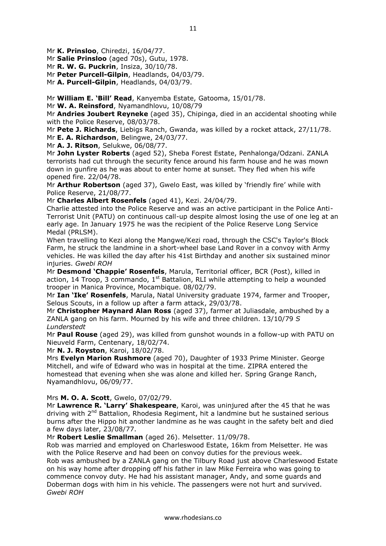Mr **K. Prinsloo**, Chiredzi, 16/04/77.

Mr **Salie Prinsloo** (aged 70s), Gutu, 1978.

Mr **R. W. G. Puckrin**, Insiza, 30/10/78.

Mr **Peter Purcell-Gilpin**, Headlands, 04/03/79.

Mr **A. Purcell-Gilpin**, Headlands, 04/03/79.

Mr **William E. 'Bill' Read**, Kanyemba Estate, Gatooma, 15/01/78.

Mr **W. A. Reinsford**, Nyamandhlovu, 10/08/79

Mr **Andries Joubert Reyneke** (aged 35), Chipinga, died in an accidental shooting while with the Police Reserve, 08/03/78.

Mr **Pete J. Richards**, Liebigs Ranch, Gwanda, was killed by a rocket attack, 27/11/78.

Mr **E. A. Richardson**, Belingwe, 24/03/77.

Mr **A. J. Ritson**, Selukwe, 06/08/77.

Mr **John Lyster Roberts** (aged 52), Sheba Forest Estate, Penhalonga/Odzani. ZANLA terrorists had cut through the security fence around his farm house and he was mown down in gunfire as he was about to enter home at sunset. They fled when his wife opened fire. 22/04/78.

Mr **Arthur Robertson** (aged 37), Gwelo East, was killed by 'friendly fire' while with Police Reserve, 21/08/77.

Mr **Charles Albert Rosenfels** (aged 41), Kezi. 24/04/79.

Charlie attested into the Police Reserve and was an active participant in the Police Anti-Terrorist Unit (PATU) on continuous call-up despite almost losing the use of one leg at an early age. In January 1975 he was the recipient of the Police Reserve Long Service Medal (PRLSM).

When travelling to Kezi along the Mangwe/Kezi road, through the CSC's Taylor's Block Farm, he struck the landmine in a short-wheel base Land Rover in a convoy with Army vehicles. He was killed the day after his 41st Birthday and another six sustained minor injuries. *Gwebi ROH*

Mr **Desmond 'Chappie' Rosenfels**, Marula, Territorial officer, BCR (Post), killed in action, 14 Troop, 3 commando,  $1<sup>st</sup>$  Battalion, RLI while attempting to help a wounded trooper in Manica Province, Mocambique. 08/02/79.

Mr **Ian 'Ike' Rosenfels**, Marula, Natal University graduate 1974, farmer and Trooper, Selous Scouts, in a follow up after a farm attack, 29/03/78.

Mr **Christopher Maynard Alan Ross** (aged 37), farmer at Juliasdale, ambushed by a ZANLA gang on his farm. Mourned by his wife and three children. 13/10/79 *S Lunderstedt*

Mr **Paul Rouse** (aged 29), was killed from gunshot wounds in a follow-up with PATU on Nieuveld Farm, Centenary, 18/02/74.

Mr **N. J. Royston**, Karoi, 18/02/78.

Mrs **Evelyn Marion Rushmore** (aged 70), Daughter of 1933 Prime Minister. George Mitchell, and wife of Edward who was in hospital at the time. ZIPRA entered the homestead that evening when she was alone and killed her. Spring Grange Ranch, Nyamandhlovu, 06/09/77.

#### Mrs **M. O. A. Scott**, Gwelo, 07/02/79.

Mr **Lawrence R. 'Larry' Shakespeare**, Karoi, was uninjured after the 45 that he was driving with  $2<sup>nd</sup>$  Battalion, Rhodesia Regiment, hit a landmine but he sustained serious burns after the Hippo hit another landmine as he was caught in the safety belt and died a few days later, 23/08/77.

Mr **Robert Leslie Smallman** (aged 26). Melsetter. 11/09/78.

Rob was married and employed on Charleswood Estate, 16km from Melsetter. He was with the Police Reserve and had been on convoy duties for the previous week.

Rob was ambushed by a ZANLA gang on the Tilbury Road just above Charleswood Estate on his way home after dropping off his father in law Mike Ferreira who was going to commence convoy duty. He had his assistant manager, Andy, and some guards and Doberman dogs with him in his vehicle. The passengers were not hurt and survived. *Gwebi ROH*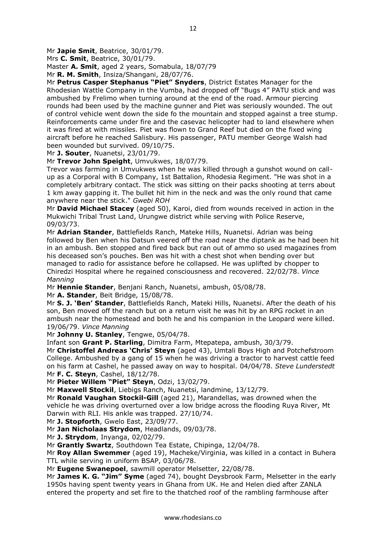Mr **Japie Smit**, Beatrice, 30/01/79.

Mrs **C. Smit**, Beatrice, 30/01/79.

Master **A. Smit**, aged 2 years, Somabula, 18/07/79

Mr **R. M. Smith**, Insiza/Shangani, 28/07/76.

Mr **Petrus Casper Stephanus "Piet" Snyders**, District Estates Manager for the Rhodesian Wattle Company in the Vumba, had dropped off "Bugs 4" PATU stick and was ambushed by Frelimo when turning around at the end of the road. Armour piercing rounds had been used by the machine gunner and Piet was seriously wounded. The out of control vehicle went down the side fo the mountain and stopped against a tree stump. Reinforcements came under fire and the casevac helicopter had to land elsewhere when it was fired at with missiles. Piet was flown to Grand Reef but died on the fixed wing aircraft before he reached Salisbury. His passenger, PATU member George Walsh had been wounded but survived. 09/10/75.

Mr **J. Souter**, Nuanetsi, 23/01/79.

Mr **Trevor John Speight**, Umvukwes, 18/07/79.

Trevor was farming in Umvukwes when he was killed through a gunshot wound on callup as a Corporal with B Company, 1st Battalion, Rhodesia Regiment. "He was shot in a completely arbitrary contact. The stick was sitting on their packs shooting at terrs about 1 km away gapping it. The bullet hit him in the neck and was the only round that came anywhere near the stick." *Gwebi ROH*

Mr **David Michael Stacey** (aged 50), Karoi, died from wounds received in action in the Mukwichi Tribal Trust Land, Urungwe district while serving with Police Reserve, 09/03/73.

Mr **Adrian Stander**, Battlefields Ranch, Mateke Hills, Nuanetsi. Adrian was being followed by Ben when his Datsun veered off the road near the diptank as he had been hit in an ambush. Ben stopped and fired back but ran out of ammo so used magazines from his deceased son's pouches. Ben was hit with a chest shot when bending over but managed to radio for assistance before he collapsed. He was uplifted by chopper to Chiredzi Hospital where he regained consciousness and recovered. 22/02/78. *Vince Manning*

Mr **Hennie Stander**, Benjani Ranch, Nuanetsi, ambush, 05/08/78.

Mr **A. Stander**, Beit Bridge, 15/08/78.

Mr **S. J. 'Ben' Stander**, Battlefields Ranch, Mateki Hills, Nuanetsi. After the death of his son, Ben moved off the ranch but on a return visit he was hit by an RPG rocket in an ambush near the homestead and both he and his companion in the Leopard were killed. 19/06/79. *Vince Manning*

Mr **Johnny U. Stanley**, Tengwe, 05/04/78.

Infant son **Grant P. Starling**, Dimitra Farm, Mtepatepa, ambush, 30/3/79.

Mr **Christoffel Andreas 'Chris' Steyn** (aged 43), Umtali Boys High and Potchefstroom College. Ambushed by a gang of 15 when he was driving a tractor to harvest cattle feed on his farm at Cashel, he passed away on way to hospital. 04/04/78. *Steve Lunderstedt* Mr **F. C. Steyn**, Cashel, 18/12/78.

Mr **Pieter Willem "Piet" Steyn**, Odzi, 13/02/79.

Mr **Maxwell Stockil**, Liebigs Ranch, Nuanetsi, landmine, 13/12/79.

Mr **Ronald Vaughan Stockil-Gill** (aged 21), Marandellas, was drowned when the vehicle he was driving overturned over a low bridge across the flooding Ruya River, Mt Darwin with RLI. His ankle was trapped. 27/10/74.

Mr **J. Stopforth**, Gwelo East, 23/09/77.

Mr **Jan Nicholaas Strydom**, Headlands, 09/03/78.

Mr **J. Strydom**, Inyanga, 02/02/79.

Mr **Grantly Swartz**, Southdown Tea Estate, Chipinga, 12/04/78.

Mr **Roy Allan Swemmer** (aged 19), Macheke/Virginia, was killed in a contact in Buhera TTL while serving in uniform BSAP, 03/06/78.

Mr **Eugene Swanepoel**, sawmill operator Melsetter, 22/08/78.

Mr **James K. G. "Jim" Syme** (aged 74), bought Deysbrook Farm, Melsetter in the early 1950s having spent twenty years in Ghana from UK. He and Helen died after ZANLA entered the property and set fire to the thatched roof of the rambling farmhouse after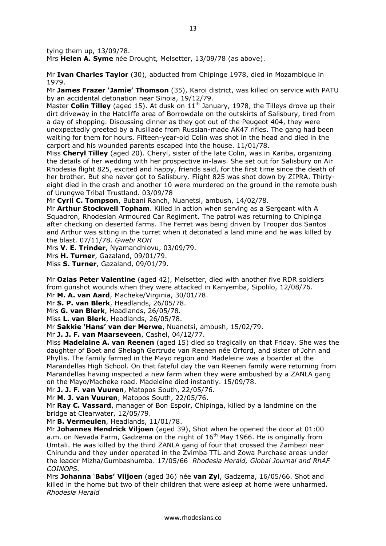tying them up, 13/09/78.

Mrs **Helen A. Syme** née Drought, Melsetter, 13/09/78 (as above).

Mr **Ivan Charles Taylor** (30), abducted from Chipinge 1978, died in Mozambique in 1979.

Mr **James Frazer 'Jamie' Thomson** (35), Karoi district, was killed on service with PATU by an accidental detonation near Sinoia, 19/12/79.

Master **Colin Tilley** (aged 15). At dusk on 11<sup>th</sup> January, 1978, the Tilleys drove up their dirt driveway in the Hatcliffe area of Borrowdale on the outskirts of Salisbury, tired from a day of shopping. Discussing dinner as they got out of the Peugeot 404, they were unexpectedly greeted by a fusillade from Russian-made AK47 rifles. The gang had been waiting for them for hours. Fifteen-year-old Colin was shot in the head and died in the carport and his wounded parents escaped into the house. 11/01/78.

Miss **Cheryl Tilley** (aged 20). Cheryl, sister of the late Colin, was in Kariba, organizing the details of her wedding with her prospective in-laws. She set out for Salisbury on Air Rhodesia flight 825, excited and happy, friends said, for the first time since the death of her brother. But she never got to Salisbury. Flight 825 was shot down by ZIPRA. Thirtyeight died in the crash and another 10 were murdered on the ground in the remote bush of Urungwe Tribal Trustland. 03/09/78

Mr **Cyril C. Tompson**, Bubani Ranch, Nuanetsi, ambush, 14/02/78.

Mr **Arthur Stockwell Topham**. Killed in action when serving as a Sergeant with A Squadron, Rhodesian Armoured Car Regiment. The patrol was returning to Chipinga after checking on deserted farms. The Ferret was being driven by Trooper dos Santos and Arthur was sitting in the turret when it detonated a land mine and he was killed by the blast. 07/11/78. *Gwebi ROH*

Mrs **V. E. Trinder**, Nyamandhlovu, 03/09/79.

Mrs **H. Turner**, Gazaland, 09/01/79.

Miss **S. Turner**, Gazaland, 09/01/79.

Mr **Ozias Peter Valentine** (aged 42), Melsetter, died with another five RDR soldiers from gunshot wounds when they were attacked in Kanyemba, Sipolilo, 12/08/76. Mr **M. A. van Aard**, Macheke/Virginia, 30/01/78.

Mr **S. P. van Blerk**, Headlands, 26/05/78.

Mrs **G. van Blerk**, Headlands, 26/05/78.

Miss **L. van Blerk**, Headlands, 26/05/78.

Mr **Sakkie 'Hans' van der Merwe**, Nuanetsi, ambush, 15/02/79.

Mr **J. J. F. van Maarseveen**, Cashel, 04/12/77.

Miss **Madelaine A. van Reenen** (aged 15) died so tragically on that Friday. She was the daughter of Boet and Shelagh Gertrude van Reenen née Orford, and sister of John and Phyllis. The family farmed in the Mayo region and Madeleine was a boarder at the Marandellas High School. On that fateful day the van Reenen family were returning from Marandellas having inspected a new farm when they were ambushed by a ZANLA gang on the Mayo/Macheke road. Madeleine died instantly. 15/09/78.

Mr **J. J. F. van Vuuren**, Matopos South, 22/05/76.

Mr **M. J. van Vuuren**, Matopos South, 22/05/76.

Mr **Ray C. Vassard**, manager of Bon Espoir, Chipinga, killed by a landmine on the bridge at Clearwater, 12/05/79.

Mr **B. Vermeulen**, Headlands, 11/01/78.

Mr **Johannes Hendrick Viljoen** (aged 39), Shot when he opened the door at 01:00 a.m. on Nevada Farm, Gadzema on the night of  $16<sup>th</sup>$  May 1966. He is originally from Umtali. He was killed by the third ZANLA gang of four that crossed the Zambezi near Chirundu and they under operated in the Zvimba TTL and Zowa Purchase areas under the leader Mizha/Gumbashumba. 17/05/66 *Rhodesia Herald, Global Journal and RhAF COINOPS.*

Mrs **Johanna** '**Babs' Viljoen** (aged 36) née **van Zyl**, Gadzema, 16/05/66. Shot and killed in the home but two of their children that were asleep at home were unharmed. *Rhodesia Herald*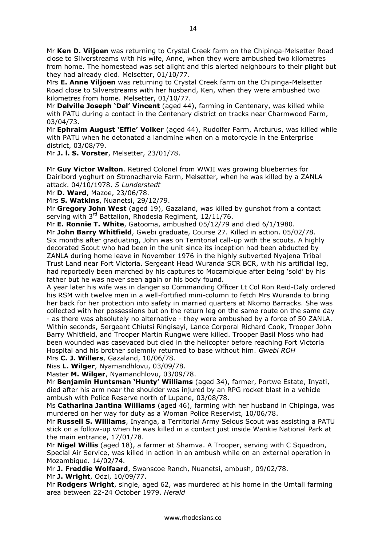Mr **Ken D. Viljoen** was returning to Crystal Creek farm on the Chipinga-Melsetter Road close to Silverstreams with his wife, Anne, when they were ambushed two kilometres from home. The homestead was set alight and this alerted neighbours to their plight but they had already died. Melsetter, 01/10/77.

Mrs **E. Anne Viljoen** was returning to Crystal Creek farm on the Chipinga-Melsetter Road close to Silverstreams with her husband, Ken, when they were ambushed two kilometres from home. Melsetter, 01/10/77.

Mr **Delville Joseph 'Del' Vincent** (aged 44), farming in Centenary, was killed while with PATU during a contact in the Centenary district on tracks near Charmwood Farm, 03/04/73.

Mr **Ephraim August 'Effie' Volker** (aged 44), Rudolfer Farm, Arcturus, was killed while with PATU when he detonated a landmine when on a motorcycle in the Enterprise district, 03/08/79.

Mr **J. l. S. Vorster**, Melsetter, 23/01/78.

Mr **Guy Victor Walton**. Retired Colonel from WWII was growing blueberries for Dairibord yoghurt on Stronacharvie Farm, Melsetter, when he was killed by a ZANLA attack. 04/10/1978. *S Lunderstedt*

Mr **D. Ward**, Mazoe, 23/06/78.

Mrs **S. Watkins**, Nuanetsi, 29/12/79.

Mr **Gregory John West** (aged 19), Gazaland, was killed by gunshot from a contact serving with 3<sup>rd</sup> Battalion, Rhodesia Regiment, 12/11/76.

Mr **E. Ronnie T. White**, Gatooma, ambushed 05/12/79 and died 6/1/1980.

Mr **John Barry Whitfield**, Gwebi graduate, Course 27. Killed in action. 05/02/78. Six months after graduating, John was on Territorial call-up with the scouts. A highly decorated Scout who had been in the unit since its inception had been abducted by ZANLA during home leave in November 1976 in the highly subverted Nyajena Tribal Trust Land near Fort Victoria. Sergeant Head Wuranda SCR BCR, with his artificial leg, had reportedly been marched by his captures to Mocambique after being 'sold' by his father but he was never seen again or his body found.

A year later his wife was in danger so Commanding Officer Lt Col Ron Reid-Daly ordered his RSM with twelve men in a well-fortified mini-column to fetch Mrs Wuranda to bring her back for her protection into safety in married quarters at Nkomo Barracks. She was collected with her possessions but on the return leg on the same route on the same day - as there was absolutely no alternative - they were ambushed by a force of 50 ZANLA. Within seconds, Sergeant Chiutsi Ringisayi, Lance Corporal Richard Cook, Trooper John Barry Whitfield, and Trooper Martin Rungwe were killed. Trooper Basil Moss who had been wounded was casevaced but died in the helicopter before reaching Fort Victoria Hospital and his brother solemnly returned to base without him. *Gwebi ROH*

Mrs **C. J. Willers**, Gazaland, 10/06/78.

Niss **L. Wilger**, Nyamandhlovu, 03/09/78. Master **M. Wilger**, Nyamandhlovu, 03/09/78.

Mr **Benjamin Huntsman 'Hunty' Williams** (aged 34), farmer, Portwe Estate, Inyati, died after his arm near the shoulder was injured by an RPG rocket blast in a vehicle ambush with Police Reserve north of Lupane, 03/08/78.

Ms **Catharina Jantina Williams** (aged 46), farming with her husband in Chipinga, was murdered on her way for duty as a Woman Police Reservist, 10/06/78.

Mr **Russell S. Williams**, Inyanga, a Territorial Army Selous Scout was assisting a PATU stick on a follow-up when he was killed in a contact just inside Wankie National Park at the main entrance, 17/01/78.

Mr **Nigel Willis** (aged 18), a farmer at Shamva. A Trooper, serving with C Squadron, Special Air Service, was killed in action in an ambush while on an external operation in Mozambique. 14/02/74.

Mr **J. Freddie Wolfaard**, Swanscoe Ranch, Nuanetsi, ambush, 09/02/78.

Mr **J. Wright**, Odzi, 10/09/77.

Mr **Rodgers Wright**, single, aged 62, was murdered at his home in the Umtali farming area between 22-24 October 1979. *Herald*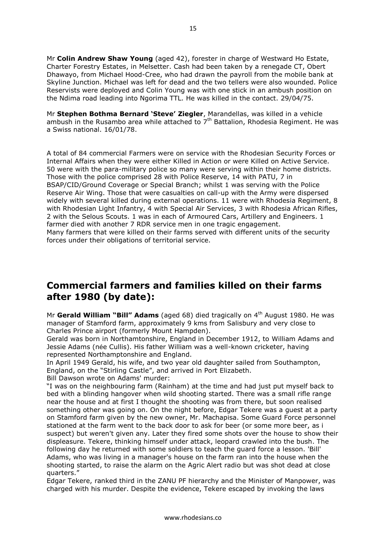Mr **Colin Andrew Shaw Young** (aged 42), forester in charge of Westward Ho Estate, Charter Forestry Estates, in Melsetter. Cash had been taken by a renegade CT, Obert Dhawayo, from Michael Hood-Cree, who had drawn the payroll from the mobile bank at Skyline Junction. Michael was left for dead and the two tellers were also wounded. Police Reservists were deployed and Colin Young was with one stick in an ambush position on the Ndima road leading into Ngorima TTL. He was killed in the contact. 29/04/75.

Mr **Stephen Bothma Bernard 'Steve' Ziegler**, Marandellas, was killed in a vehicle ambush in the Rusambo area while attached to  $7<sup>th</sup>$  Battalion, Rhodesia Regiment. He was a Swiss national. 16/01/78.

A total of 84 commercial Farmers were on service with the Rhodesian Security Forces or Internal Affairs when they were either Killed in Action or were Killed on Active Service. 50 were with the para-military police so many were serving within their home districts. Those with the police comprised 28 with Police Reserve, 14 with PATU, 7 in BSAP/CID/Ground Coverage or Special Branch; whilst 1 was serving with the Police Reserve Air Wing. Those that were casualties on call-up with the Army were dispersed widely with several killed during external operations. 11 were with Rhodesia Regiment, 8 with Rhodesian Light Infantry, 4 with Special Air Services, 3 with Rhodesia African Rifles, 2 with the Selous Scouts. 1 was in each of Armoured Cars, Artillery and Engineers. 1 farmer died with another 7 RDR service men in one tragic engagement. Many farmers that were killed on their farms served with different units of the security forces under their obligations of territorial service.

## **Commercial farmers and families killed on their farms after 1980 (by date):**

Mr **Gerald William "Bill" Adams** (aged 68) died tragically on 4th August 1980. He was manager of Stamford farm, approximately 9 kms from Salisbury and very close to Charles Prince airport (formerly Mount Hampden).

Gerald was born in Northamtonshire, England in December 1912, to William Adams and Jessie Adams (née Cullis). His father William was a well-known cricketer, having represented Northamptonshire and England.

In April 1949 Gerald, his wife, and two year old daughter sailed from Southampton, England, on the "Stirling Castle", and arrived in Port Elizabeth.

Bill Dawson wrote on Adams' murder:

"I was on the neighbouring farm (Rainham) at the time and had just put myself back to bed with a blinding hangover when wild shooting started. There was a small rifle range near the house and at first I thought the shooting was from there, but soon realised something other was going on. On the night before, Edgar Tekere was a guest at a party on Stamford farm given by the new owner, Mr. Machapisa. Some Guard Force personnel stationed at the farm went to the back door to ask for beer (or some more beer, as i suspect) but weren't given any. Later they fired some shots over the house to show their displeasure. Tekere, thinking himself under attack, leopard crawled into the bush. The following day he returned with some soldiers to teach the guard force a lesson. 'Bill' Adams, who was living in a manager's house on the farm ran into the house when the shooting started, to raise the alarm on the Agric Alert radio but was shot dead at close quarters."

Edgar Tekere, ranked third in the ZANU PF hierarchy and the Minister of Manpower, was charged with his murder. Despite the evidence, Tekere escaped by invoking the laws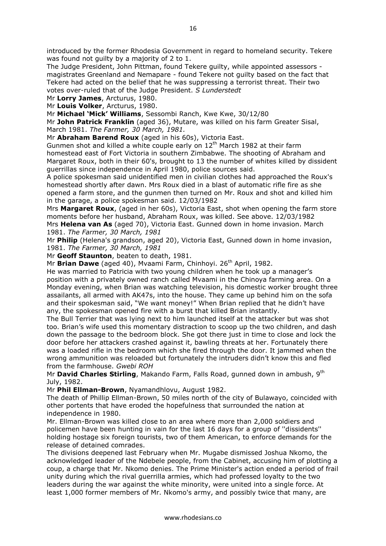introduced by the former Rhodesia Government in regard to homeland security. Tekere was found not guilty by a majority of 2 to 1.

The Judge President, John Pittman, found Tekere guilty, while appointed assessors magistrates Greenland and Nemapare - found Tekere not guilty based on the fact that Tekere had acted on the belief that he was suppressing a terrorist threat. Their two votes over-ruled that of the Judge President. *S Lunderstedt*

Mr **Lorry James**, Arcturus, 1980.

Mr **Louis Volker**, Arcturus, 1980.

Mr **Michael 'Mick' Williams**, Sessombi Ranch, Kwe Kwe, 30/12/80

Mr **John Patrick Franklin** (aged 36), Mutare, was killed on his farm Greater Sisal, March 1981. *The Farmer, 30 March, 1981.*

Mr **Abraham Barend Roux** (aged in his 60s), Victoria East.

Gunmen shot and killed a white couple early on  $12<sup>th</sup>$  March 1982 at their farm homestead east of Fort Victoria in southern Zimbabwe. The shooting of Abraham and Margaret Roux, both in their 60's, brought to 13 the number of whites killed by dissident guerrillas since independence in April 1980, police sources said.

A police spokesman said unidentified men in civilian clothes had approached the Roux's homestead shortly after dawn. Mrs Roux died in a blast of automatic rifle fire as she opened a farm store, and the gunmen then turned on Mr. Roux and shot and killed him in the garage, a police spokesman said. 12/03/1982

Mrs **Margaret Roux**, (aged in her 60s), Victoria East, shot when opening the farm store moments before her husband, Abraham Roux, was killed. See above. 12/03/1982 Mrs **Helena van As** (aged 70), Victoria East. Gunned down in home invasion. March 1981. *The Farmer, 30 March, 1981*

Mr **Philip** (Helena's grandson, aged 20), Victoria East, Gunned down in home invasion, 1981. *The Farmer, 30 March, 1981*

Mr **Geoff Staunton**, beaten to death, 1981.

Mr **Brian Dawe** (aged 40), Myaami Farm, Chinhoyi. 26<sup>th</sup> April, 1982.

He was married to Patricia with two young children when he took up a manager's position with a privately owned ranch called Mvaami in the Chinoya farming area. On a Monday evening, when Brian was watching television, his domestic worker brought three assailants, all armed with AK47s, into the house. They came up behind him on the sofa and their spokesman said, "We want money!" When Brian replied that he didn't have any, the spokesman opened fire with a burst that killed Brian instantly.

The Bull Terrier that was lying next to him launched itself at the attacker but was shot too. Brian's wife used this momentary distraction to scoop up the two children, and dash down the passage to the bedroom block. She got there just in time to close and lock the door before her attackers crashed against it, bawling threats at her. Fortunately there was a loaded rifle in the bedroom which she fired through the door. It jammed when the wrong ammunition was reloaded but fortunately the intruders didn't know this and fled from the farmhouse. *Gwebi ROH*

Mr **David Charles Stirling**, Makando Farm, Falls Road, gunned down in ambush, 9th July, 1982.

Mr **Phil Ellman-Brown**, Nyamandhlovu, August 1982.

The death of Phillip Ellman-Brown, 50 miles north of the city of Bulawayo, coincided with other portents that have eroded the hopefulness that surrounded the nation at independence in 1980.

Mr. Ellman-Brown was killed close to an area where more than 2,000 soldiers and policemen have been hunting in vain for the last 16 days for a group of ''dissidents'' holding hostage six foreign tourists, two of them American, to enforce demands for the release of detained comrades.

The divisions deepened last February when Mr. Mugabe dismissed Joshua Nkomo, the acknowledged leader of the Ndebele people, from the Cabinet, accusing him of plotting a coup, a charge that Mr. Nkomo denies. The Prime Minister's action ended a period of frail unity during which the rival guerrilla armies, which had professed loyalty to the two leaders during the war against the white minority, were united into a single force. At least 1,000 former members of Mr. Nkomo's army, and possibly twice that many, are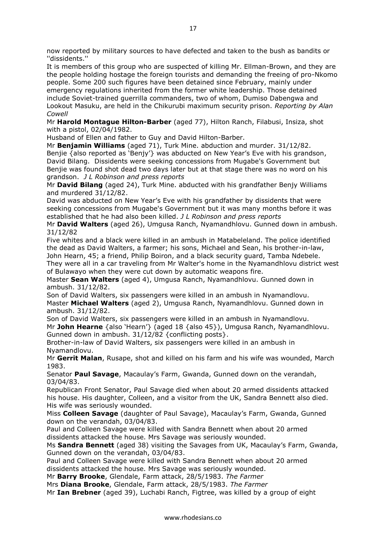now reported by military sources to have defected and taken to the bush as bandits or ''dissidents.''

It is members of this group who are suspected of killing Mr. Ellman-Brown, and they are the people holding hostage the foreign tourists and demanding the freeing of pro-Nkomo people. Some 200 such figures have been detained since February, mainly under emergency regulations inherited from the former white leadership. Those detained include Soviet-trained guerrilla commanders, two of whom, Dumiso Dabengwa and Lookout Masuku, are held in the Chikurubi maximum security prison. *Reporting by Alan Cowell*

Mr **Harold Montague Hilton-Barber** (aged 77), Hilton Ranch, Filabusi, Insiza, shot with a pistol, 02/04/1982.

Husband of Ellen and father to Guy and David Hilton-Barber.

Mr **Benjamin Williams** (aged 71), Turk Mine. abduction and murder. 31/12/82. Benjie {also reported as 'Benjy'} was abducted on New Year's Eve with his grandson, David Bilang. Dissidents were seeking concessions from Mugabe's Government but Benjie was found shot dead two days later but at that stage there was no word on his grandson. *J L Robinson and press reports*

Mr **David Bilang** (aged 24), Turk Mine. abducted with his grandfather Benjy Williams and murdered 31/12/82.

David was abducted on New Year's Eve with his grandfather by dissidents that were seeking concessions from Mugabe's Government but it was many months before it was established that he had also been killed. *J L Robinson and press reports*

Mr **David Walters** (aged 26), Umgusa Ranch, Nyamandhlovu. Gunned down in ambush. 31/12/82

Five whites and a black were killed in an ambush in Matabeleland. The police identified the dead as David Walters, a farmer; his sons, Michael and Sean, his brother-in-law, John Hearn, 45; a friend, Philip Boiron, and a black security guard, Tamba Ndebele. They were all in a car traveling from Mr Walter's home in the Nyamandhlovu district west of Bulawayo when they were cut down by automatic weapons fire.

Master **Sean Walters** (aged 4), Umgusa Ranch, Nyamandhlovu. Gunned down in ambush. 31/12/82.

Son of David Walters, six passengers were killed in an ambush in Nyamandlovu. Master **Michael Walters** (aged 2), Umgusa Ranch, Nyamandhlovu. Gunned down in ambush. 31/12/82.

Son of David Walters, six passengers were killed in an ambush in Nyamandlovu. Mr **John Hearne** {also 'Hearn'} (aged 18 {also 45}), Umgusa Ranch, Nyamandhlovu. Gunned down in ambush. 31/12/82 {conflicting posts}.

Brother-in-law of David Walters, six passengers were killed in an ambush in Nyamandlovu.

Mr **Gerrit Malan**, Rusape, shot and killed on his farm and his wife was wounded, March 1983.

Senator **Paul Savage**, Macaulay's Farm, Gwanda, Gunned down on the verandah, 03/04/83.

Republican Front Senator, Paul Savage died when about 20 armed dissidents attacked his house. His daughter, Colleen, and a visitor from the UK, Sandra Bennett also died. His wife was seriously wounded.

Miss **Colleen Savage** (daughter of Paul Savage), Macaulay's Farm, Gwanda, Gunned down on the verandah, 03/04/83.

Paul and Colleen Savage were killed with Sandra Bennett when about 20 armed dissidents attacked the house. Mrs Savage was seriously wounded.

Ms **Sandra Bennett** (aged 38) visiting the Savages from UK, Macaulay's Farm, Gwanda, Gunned down on the verandah, 03/04/83.

Paul and Colleen Savage were killed with Sandra Bennett when about 20 armed dissidents attacked the house. Mrs Savage was seriously wounded.

Mr **Barry Brooke**, Glendale, Farm attack, 28/5/1983. *The Farmer*

Mrs **Diana Brooke**, Glendale, Farm attack, 28/5/1983. *The Farmer*

Mr **Ian Brebner** (aged 39), Luchabi Ranch, Figtree, was killed by a group of eight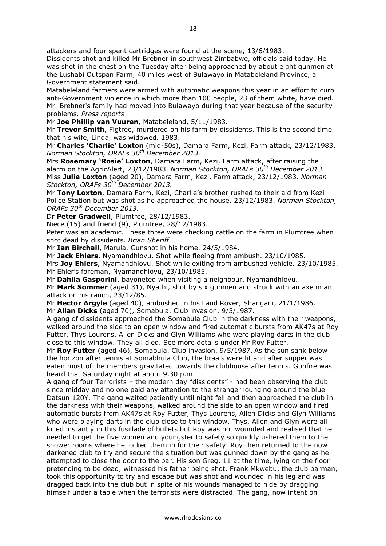attackers and four spent cartridges were found at the scene, 13/6/1983.

Dissidents shot and killed Mr Brebner in southwest Zimbabwe, officials said today. He was shot in the chest on the Tuesday after being approached by about eight gunmen at the Lushabi Outspan Farm, 40 miles west of Bulawayo in Matabeleland Province, a Government statement said.

Matabeleland farmers were armed with automatic weapons this year in an effort to curb anti-Government violence in which more than 100 people, 23 of them white, have died. Mr. Brebner's family had moved into Bulawayo during that year because of the security problems. *Press reports*

Mr **Joe Phillip van Vuuren**, Matabeleland, 5/11/1983.

Mr **Trevor Smith**, Figtree, murdered on his farm by dissidents. This is the second time that his wife, Linda, was widowed. 1983.

Mr **Charles 'Charlie' Loxton** (mid-50s), Damara Farm, Kezi, Farm attack, 23/12/1983. *Norman Stockton, ORAFs 30th December 2013.*

Mrs **Rosemary 'Rosie' Loxton**, Damara Farm, Kezi, Farm attack, after raising the alarm on the AgricAlert, 23/12/1983. *Norman Stockton, ORAFs 30th December 2013.* Miss **Julie Loxton** (aged 20), Damara Farm, Kezi, Farm attack, 23/12/1983. *Norman Stockton, ORAFs 30th December 2013.*

Mr **Tony Loxton**, Damara Farm, Kezi, Charlie's brother rushed to their aid from Kezi Police Station but was shot as he approached the house, 23/12/1983. *Norman Stockton, ORAFs 30th December 2013.*

Dr **Peter Gradwell**, Plumtree, 28/12/1983.

Niece (15) and friend (9), Plumtree, 28/12/1983.

Peter was an academic. These three were checking cattle on the farm in Plumtree when shot dead by dissidents. *Brian Sheriff*

Mr **Ian Birchall**, Marula. Gunshot in his home. 24/5/1984.

Mr **Jack Ehlers**, Nyamandhlovu. Shot while fleeing from ambush. 23/10/1985. Mrs **Joy Ehlers**, Nyamandhlovu. Shot while exiting from ambushed vehicle. 23/10/1985. Mr Ehler's foreman, Nyamandhlovu, 23/10/1985.

Mr **Dahlia Gasporini**, bayoneted when visiting a neighbour, Nyamandhlovu. Mr **Mark Sommer** (aged 31), Nyathi, shot by six gunmen and struck with an axe in an attack on his ranch, 23/12/85.

Mr **Hector Argyle** (aged 40), ambushed in his Land Rover, Shangani, 21/1/1986. Mr **Allan Dicks** (aged 70), Somabula. Club invasion. 9/5/1987.

A gang of dissidents approached the Somabula Club in the darkness with their weapons, walked around the side to an open window and fired automatic bursts from AK47s at Roy Futter, Thys Lourens, Allen Dicks and Glyn Williams who were playing darts in the club close to this window. They all died. See more details under Mr Roy Futter.

Mr **Roy Futter** (aged 46), Somabula. Club invasion. 9/5/1987. As the sun sank below the horizon after tennis at Somabhula Club, the braais were lit and after supper was eaten most of the members gravitated towards the clubhouse after tennis. Gunfire was heard that Saturday night at about 9.30 p.m.

A gang of four Terrorists – the modern day "dissidents" - had been observing the club since midday and no one paid any attention to the stranger lounging around the blue Datsun 120Y. The gang waited patiently until night fell and then approached the club in the darkness with their weapons, walked around the side to an open window and fired automatic bursts from AK47s at Roy Futter, Thys Lourens, Allen Dicks and Glyn Williams who were playing darts in the club close to this window. Thys, Allen and Glyn were all killed instantly in this fusillade of bullets but Roy was not wounded and realised that he needed to get the five women and youngster to safety so quickly ushered them to the shower rooms where he locked them in for their safety. Roy then returned to the now darkened club to try and secure the situation but was gunned down by the gang as he attempted to close the door to the bar. His son Greg, 11 at the time, lying on the floor pretending to be dead, witnessed his father being shot. Frank Mkwebu, the club barman, took this opportunity to try and escape but was shot and wounded in his leg and was dragged back into the club but in spite of his wounds managed to hide by dragging himself under a table when the terrorists were distracted. The gang, now intent on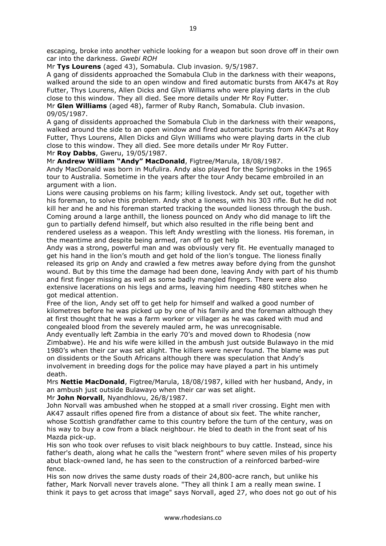Mr **Tys Lourens** (aged 43), Somabula. Club invasion. 9/5/1987.

A gang of dissidents approached the Somabula Club in the darkness with their weapons, walked around the side to an open window and fired automatic bursts from AK47s at Roy Futter, Thys Lourens, Allen Dicks and Glyn Williams who were playing darts in the club close to this window. They all died. See more details under Mr Roy Futter.

Mr **Glen Williams** (aged 48), farmer of Ruby Ranch, Somabula. Club invasion. 09/05/1987.

A gang of dissidents approached the Somabula Club in the darkness with their weapons, walked around the side to an open window and fired automatic bursts from AK47s at Roy Futter, Thys Lourens, Allen Dicks and Glyn Williams who were playing darts in the club close to this window. They all died. See more details under Mr Roy Futter. Mr **Roy Dabbs**, Gweru, 19/05/1987.

Mr **Andrew William "Andy" MacDonald**, Figtree/Marula, 18/08/1987.

Andy MacDonald was born in Mufulira. Andy also played for the Springboks in the 1965 tour to Australia. Sometime in the years after the tour Andy became embroiled in an argument with a lion.

Lions were causing problems on his farm; killing livestock. Andy set out, together with his foreman, to solve this problem. Andy shot a lioness, with his 303 rifle. But he did not kill her and he and his foreman started tracking the wounded lioness through the bush. Coming around a large anthill, the lioness pounced on Andy who did manage to lift the gun to partially defend himself, but which also resulted in the rifle being bent and rendered useless as a weapon. This left Andy wrestling with the lioness. His foreman, in the meantime and despite being armed, ran off to get help

Andy was a strong, powerful man and was obviously very fit. He eventually managed to get his hand in the lion's mouth and get hold of the lion's tongue. The lioness finally released its grip on Andy and crawled a few metres away before dying from the gunshot wound. But by this time the damage had been done, leaving Andy with part of his thumb and first finger missing as well as some badly mangled fingers. There were also extensive lacerations on his legs and arms, leaving him needing 480 stitches when he got medical attention.

Free of the lion, Andy set off to get help for himself and walked a good number of kilometres before he was picked up by one of his family and the foreman although they at first thought that he was a farm worker or villager as he was caked with mud and congealed blood from the severely mauled arm, he was unrecognisable.

Andy eventually left Zambia in the early 70's and moved down to Rhodesia (now Zimbabwe). He and his wife were killed in the ambush just outside Bulawayo in the mid 1980's when their car was set alight. The killers were never found. The blame was put on dissidents or the South Africans although there was speculation that Andy's involvement in breeding dogs for the police may have played a part in his untimely death.

Mrs **Nettie MacDonald**, Figtree/Marula, 18/08/1987, killed with her husband, Andy, in an ambush just outside Bulawayo when their car was set alight.

Mr **John Norvall**, Nyandhlovu, 26/8/1987.

John Norvall was ambushed when he stopped at a small river crossing. Eight men with AK47 assault rifles opened fire from a distance of about six feet. The white rancher, whose Scottish grandfather came to this country before the turn of the century, was on his way to buy a cow from a black neighbour. He bled to death in the front seat of his Mazda pick-up.

His son who took over refuses to visit black neighbours to buy cattle. Instead, since his father's death, along what he calls the "western front" where seven miles of his property abut black-owned land, he has seen to the construction of a reinforced barbed-wire fence.

His son now drives the same dusty roads of their 24,800-acre ranch, but unlike his father, Mark Norvall never travels alone. "They all think I am a really mean swine. I think it pays to get across that image" says Norvall, aged 27, who does not go out of his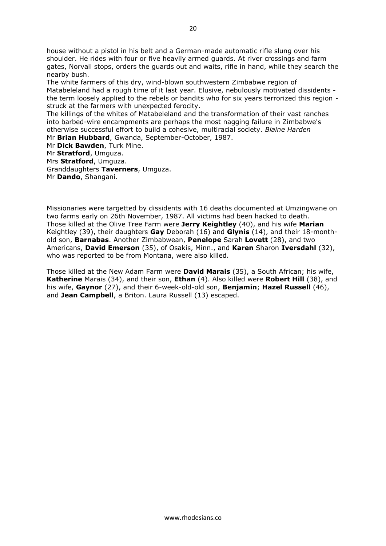house without a pistol in his belt and a German-made automatic rifle slung over his shoulder. He rides with four or five heavily armed guards. At river crossings and farm gates, Norvall stops, orders the guards out and waits, rifle in hand, while they search the nearby bush.

The white farmers of this dry, wind-blown southwestern Zimbabwe region of Matabeleland had a rough time of it last year. Elusive, nebulously motivated dissidents the term loosely applied to the rebels or bandits who for six years terrorized this region struck at the farmers with unexpected ferocity.

The killings of the whites of Matabeleland and the transformation of their vast ranches into barbed-wire encampments are perhaps the most nagging failure in Zimbabwe's otherwise successful effort to build a cohesive, multiracial society. *Blaine Harden* Mr **Brian Hubbard**, Gwanda, September-October, 1987.

Mr **Dick Bawden**, Turk Mine. Mr **Stratford**, Umguza. Mrs **Stratford**, Umguza. Granddaughters **Taverners**, Umguza. Mr **Dando**, Shangani.

Missionaries were targetted by dissidents with 16 deaths documented at Umzingwane on two farms early on 26th November, 1987. All victims had been hacked to death. Those killed at the Olive Tree Farm were **Jerry Keightley** (40), and his wife **Marian** Keightley (39), their daughters **Gay** Deborah (16) and **Glynis** (14), and their 18-monthold son, **Barnabas**. Another Zimbabwean, **Penelope** Sarah **Lovett** (28), and two Americans, **David Emerson** (35), of Osakis, Minn., and **Karen** Sharon **Iversdahl** (32), who was reported to be from Montana, were also killed.

Those killed at the New Adam Farm were **David Marais** (35), a South African; his wife, **Katherine** Marais (34), and their son, **Ethan** (4). Also killed were **Robert Hill** (38), and his wife, **Gaynor** (27), and their 6-week-old-old son, **Benjamin**; **Hazel Russell** (46), and **Jean Campbell**, a Briton. Laura Russell (13) escaped.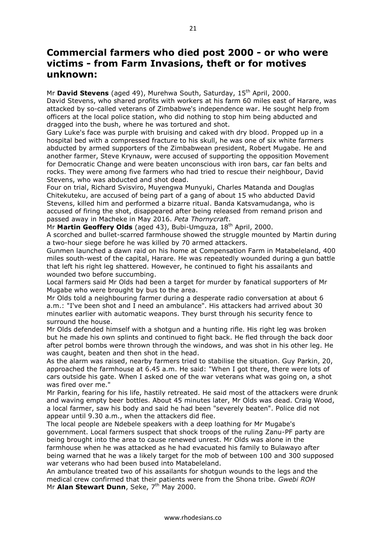## **Commercial farmers who died post 2000 - or who were victims - from Farm Invasions, theft or for motives unknown:**

Mr **David Stevens** (aged 49), Murehwa South, Saturday, 15<sup>th</sup> April, 2000. David Stevens, who shared profits with workers at his farm 60 miles east of Harare, was attacked by so-called veterans of Zimbabwe's independence war. He sought help from officers at the local police station, who did nothing to stop him being abducted and dragged into the bush, where he was tortured and shot.

Gary Luke's face was purple with bruising and caked with dry blood. Propped up in a hospital bed with a compressed fracture to his skull, he was one of six white farmers abducted by armed supporters of the Zimbabwean president, Robert Mugabe. He and another farmer, Steve Krynauw, were accused of supporting the opposition Movement for Democratic Change and were beaten unconscious with iron bars, car fan belts and rocks. They were among five farmers who had tried to rescue their neighbour, David Stevens, who was abducted and shot dead.

Four on trial, Richard Svisviro, Muyengwa Munyuki, Charles Matanda and Douglas Chitekuteku, are accused of being part of a gang of about 15 who abducted David Stevens, killed him and performed a bizarre ritual. Banda Katsvamudanga, who is accused of firing the shot, disappeared after being released from remand prison and passed away in Macheke in May 2016. *Peta Thornycraft*.

Mr **Martin Geoffery Olds** (aged 43), Bubi-Umguza, 18th April, 2000.

A scorched and bullet-scarred farmhouse showed the struggle mounted by Martin during a two-hour siege before he was killed by 70 armed attackers.

Gunmen launched a dawn raid on his home at Compensation Farm in Matabeleland, 400 miles south-west of the capital, Harare. He was repeatedly wounded during a gun battle that left his right leg shattered. However, he continued to fight his assailants and wounded two before succumbing.

Local farmers said Mr Olds had been a target for murder by fanatical supporters of Mr Mugabe who were brought by bus to the area.

Mr Olds told a neighbouring farmer during a desperate radio conversation at about 6 a.m.: "I've been shot and I need an ambulance". His attackers had arrived about 30 minutes earlier with automatic weapons. They burst through his security fence to surround the house.

Mr Olds defended himself with a shotgun and a hunting rifle. His right leg was broken but he made his own splints and continued to fight back. He fled through the back door after petrol bombs were thrown through the windows, and was shot in his other leg. He was caught, beaten and then shot in the head.

As the alarm was raised, nearby farmers tried to stabilise the situation. Guy Parkin, 20, approached the farmhouse at 6.45 a.m. He said: "When I got there, there were lots of cars outside his gate. When I asked one of the war veterans what was going on, a shot was fired over me."

Mr Parkin, fearing for his life, hastily retreated. He said most of the attackers were drunk and waving empty beer bottles. About 45 minutes later, Mr Olds was dead. Craig Wood, a local farmer, saw his body and said he had been "severely beaten". Police did not appear until 9.30 a.m., when the attackers did flee.

The local people are Ndebele speakers with a deep loathing for Mr Mugabe's government. Local farmers suspect that shock troops of the ruling Zanu-PF party are being brought into the area to cause renewed unrest. Mr Olds was alone in the farmhouse when he was attacked as he had evacuated his family to Bulawayo after being warned that he was a likely target for the mob of between 100 and 300 supposed war veterans who had been bused into Matabeleland.

An ambulance treated two of his assailants for shotgun wounds to the legs and the medical crew confirmed that their patients were from the Shona tribe. *Gwebi ROH* Mr **Alan Stewart Dunn**, Seke, 7<sup>th</sup> May 2000.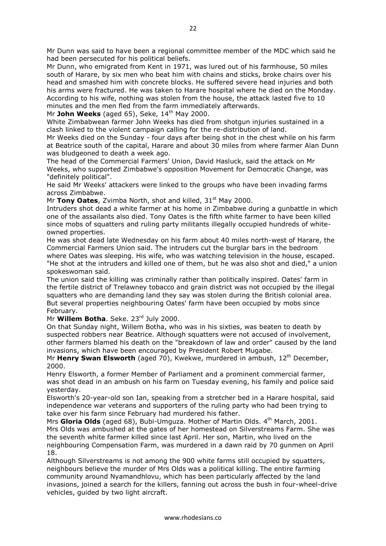Mr Dunn, who emigrated from Kent in 1971, was lured out of his farmhouse, 50 miles south of Harare, by six men who beat him with chains and sticks, broke chairs over his head and smashed him with concrete blocks. He suffered severe head injuries and both his arms were fractured. He was taken to Harare hospital where he died on the Monday. According to his wife, nothing was stolen from the house, the attack lasted five to 10 minutes and the men fled from the farm immediately afterwards.

Mr **John Weeks** (aged 65), Seke,  $14<sup>th</sup>$  May 2000.

White Zimbabwean farmer John Weeks has died from shotgun injuries sustained in a clash linked to the violent campaign calling for the re-distribution of land.

Mr Weeks died on the Sunday - four days after being shot in the chest while on his farm at Beatrice south of the capital, Harare and about 30 miles from where farmer Alan Dunn was bludgeoned to death a week ago.

The head of the Commercial Farmers' Union, David Hasluck, said the attack on Mr Weeks, who supported Zimbabwe's opposition Movement for Democratic Change, was "definitely political".

He said Mr Weeks' attackers were linked to the groups who have been invading farms across Zimbabwe.

Mr **Tony Oates**, Zvimba North, shot and killed, 31<sup>st</sup> May 2000.

Intruders shot dead a white farmer at his home in Zimbabwe during a gunbattle in which one of the assailants also died. Tony Oates is the fifth white farmer to have been killed since mobs of squatters and ruling party militants illegally occupied hundreds of whiteowned properties.

He was shot dead late Wednesday on his farm about 40 miles north-west of Harare, the Commercial Farmers Union said. The intruders cut the burglar bars in the bedroom where Oates was sleeping. His wife, who was watching television in the house, escaped. "He shot at the intruders and killed one of them, but he was also shot and died," a union spokeswoman said.

The union said the killing was criminally rather than politically inspired. Oates' farm in the fertile district of Trelawney tobacco and grain district was not occupied by the illegal squatters who are demanding land they say was stolen during the British colonial area. But several properties neighbouring Oates' farm have been occupied by mobs since February.

Mr **Willem Botha**. Seke. 23<sup>rd</sup> July 2000.

On that Sunday night, Willem Botha, who was in his sixties, was beaten to death by suspected robbers near Beatrice. Although squatters were not accused of involvement, other farmers blamed his death on the "breakdown of law and order" caused by the land invasions, which have been encouraged by President Robert Mugabe.

Mr Henry Swan Elsworth (aged 70), Kwekwe, murdered in ambush, 12<sup>th</sup> December, 2000.

Henry Elsworth, a former Member of Parliament and a prominent commercial farmer, was shot dead in an ambush on his farm on Tuesday evening, his family and police said yesterday.

Elsworth's 20-year-old son Ian, speaking from a stretcher bed in a Harare hospital, said independence war veterans and supporters of the ruling party who had been trying to take over his farm since February had murdered his father.

Mrs Gloria Olds (aged 68), Bubi-Umguza. Mother of Martin Olds. 4<sup>th</sup> March, 2001. Mrs Olds was ambushed at the gates of her homestead on Silverstreams Farm. She was the seventh white farmer killed since last April. Her son, Martin, who lived on the neighbouring Compensation Farm, was murdered in a dawn raid by 70 gunmen on April 18.

Although Silverstreams is not among the 900 white farms still occupied by squatters, neighbours believe the murder of Mrs Olds was a political killing. The entire farming community around Nyamandhlovu, which has been particularly affected by the land invasions, joined a search for the killers, fanning out across the bush in four-wheel-drive vehicles, guided by two light aircraft.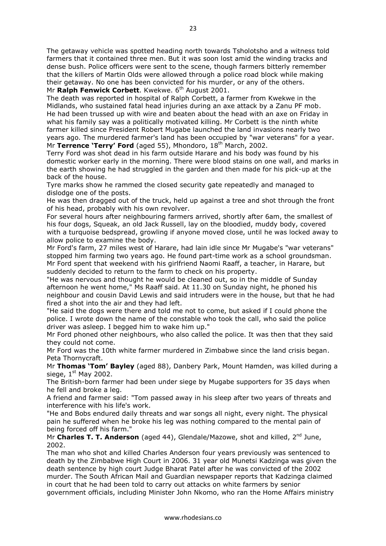The getaway vehicle was spotted heading north towards Tsholotsho and a witness told farmers that it contained three men. But it was soon lost amid the winding tracks and dense bush. Police officers were sent to the scene, though farmers bitterly remember that the killers of Martin Olds were allowed through a police road block while making their getaway. No one has been convicted for his murder, or any of the others. Mr **Ralph Fenwick Corbett**. Kwekwe. 6<sup>th</sup> August 2001.

The death was reported in hospital of Ralph Corbett, a farmer from Kwekwe in the Midlands, who sustained fatal head injuries during an axe attack by a Zanu PF mob. He had been trussed up with wire and beaten about the head with an axe on Friday in what his family say was a politically motivated killing. Mr Corbett is the ninth white farmer killed since President Robert Mugabe launched the land invasions nearly two years ago. The murdered farmer's land has been occupied by "war veterans" for a year. Mr **Terrence 'Terry' Ford** (aged 55), Mhondoro, 18th March, 2002.

Terry Ford was shot dead in his farm outside Harare and his body was found by his domestic worker early in the morning. There were blood stains on one wall, and marks in the earth showing he had struggled in the garden and then made for his pick-up at the back of the house.

Tyre marks show he rammed the closed security gate repeatedly and managed to dislodge one of the posts.

He was then dragged out of the truck, held up against a tree and shot through the front of his head, probably with his own revolver.

For several hours after neighbouring farmers arrived, shortly after 6am, the smallest of his four dogs, Squeak, an old Jack Russell, lay on the bloodied, muddy body, covered with a turquoise bedspread, growling if anyone moved close, until he was locked away to allow police to examine the body.

Mr Ford's farm, 27 miles west of Harare, had lain idle since Mr Mugabe's "war veterans" stopped him farming two years ago. He found part-time work as a school groundsman. Mr Ford spent that weekend with his girlfriend Naomi Raaff, a teacher, in Harare, but suddenly decided to return to the farm to check on his property.

"He was nervous and thought he would be cleaned out, so in the middle of Sunday afternoon he went home," Ms Raaff said. At 11.30 on Sunday night, he phoned his neighbour and cousin David Lewis and said intruders were in the house, but that he had fired a shot into the air and they had left.

"He said the dogs were there and told me not to come, but asked if I could phone the police. I wrote down the name of the constable who took the call, who said the police driver was asleep. I begged him to wake him up."

Mr Ford phoned other neighbours, who also called the police. It was then that they said they could not come.

Mr Ford was the 10th white farmer murdered in Zimbabwe since the land crisis began. Peta Thornycraft.

Mr **Thomas 'Tom' Bayley** (aged 88), Danbery Park, Mount Hamden, was killed during a siege,  $1<sup>st</sup>$  May 2002.

The British-born farmer had been under siege by Mugabe supporters for 35 days when he fell and broke a leg.

A friend and farmer said: "Tom passed away in his sleep after two years of threats and interference with his life's work.

"He and Bobs endured daily threats and war songs all night, every night. The physical pain he suffered when he broke his leg was nothing compared to the mental pain of being forced off his farm."

Mr Charles T. T. Anderson (aged 44), Glendale/Mazowe, shot and killed, 2<sup>nd</sup> June, 2002.

The man who shot and killed Charles Anderson four years previously was sentenced to death by the Zimbabwe High Court in 2006. 31 year old Munetsi Kadzinga was given the death sentence by high court Judge Bharat Patel after he was convicted of the 2002 murder. The South African Mail and Guardian newspaper reports that Kadzinga claimed in court that he had been told to carry out attacks on white farmers by senior government officials, including Minister John Nkomo, who ran the Home Affairs ministry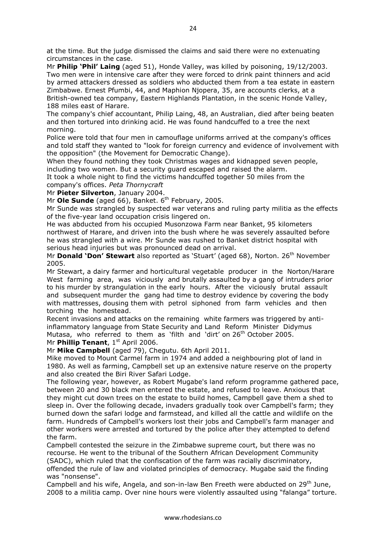at the time. But the judge dismissed the claims and said there were no extenuating circumstances in the case.

Mr **Philip 'Phil' Laing** (aged 51), Honde Valley, was killed by poisoning, 19/12/2003. Two men were in intensive care after they were forced to drink paint thinners and acid by armed attackers dressed as soldiers who abducted them from a tea estate in eastern Zimbabwe. Ernest Pfumbi, 44, and Maphion Njopera, 35, are accounts clerks, at a British-owned tea company, Eastern Highlands Plantation, in the scenic Honde Valley, 188 miles east of Harare.

The company's chief accountant, Philip Laing, 48, an Australian, died after being beaten and then tortured into drinking acid. He was found handcuffed to a tree the next morning.

Police were told that four men in camouflage uniforms arrived at the company's offices and told staff they wanted to "look for foreign currency and evidence of involvement with the opposition" (the Movement for Democratic Change).

When they found nothing they took Christmas wages and kidnapped seven people, including two women. But a security guard escaped and raised the alarm.

It took a whole night to find the victims handcuffed together 50 miles from the company's offices. *Peta Thornycraft*

Mr **Pieter Silverton**, January 2004.

Mr Ole Sunde (aged 66), Banket. 6<sup>th</sup> February, 2005.

Mr Sunde was strangled by suspected war veterans and ruling party militia as the effects of the five-year land occupation crisis lingered on.

He was abducted from his occupied Musonzowa Farm near Banket, 95 kilometers northwest of Harare, and driven into the bush where he was severely assaulted before he was strangled with a wire. Mr Sunde was rushed to Banket district hospital with serious head injuries but was pronounced dead on arrival.

Mr **Donald 'Don' Stewart** also reported as 'Stuart' (aged 68), Norton. 26<sup>th</sup> November 2005.

Mr Stewart, a dairy farmer and horticultural vegetable producer in the Norton/Harare West farming area, was viciously and brutally assaulted by a gang of intruders prior to his murder by strangulation in the early hours. After the viciously brutal assault and subsequent murder the gang had time to destroy evidence by covering the body with mattresses, dousing them with petrol siphoned from farm vehicles and then torching the homestead.

Recent invasions and attacks on the remaining white farmers was triggered by antiinflammatory language from State Security and Land Reform Minister Didymus Mutasa, who referred to them as 'filth and 'dirt' on  $26<sup>th</sup>$  October 2005. Mr **Phillip Tenant**, 1<sup>st</sup> April 2006.

Mr **Mike Campbell** (aged 79), Chegutu. 6th April 2011.

Mike moved to Mount Carmel farm in 1974 and added a neighbouring plot of land in 1980. As well as farming, Campbell set up an extensive nature reserve on the property and also created the Biri River Safari Lodge.

The following year, however, as Robert Mugabe's land reform programme gathered pace, between 20 and 30 black men entered the estate, and refused to leave. Anxious that they might cut down trees on the estate to build homes, Campbell gave them a shed to sleep in. Over the following decade, invaders gradually took over Campbell's farm; they burned down the safari lodge and farmstead, and killed all the cattle and wildlife on the farm. Hundreds of Campbell's workers lost their jobs and Campbell's farm manager and other workers were arrested and tortured by the police after they attempted to defend the farm.

Campbell contested the seizure in the Zimbabwe supreme court, but there was no recourse. He went to the tribunal of the Southern African Development Community (SADC), which ruled that the confiscation of the farm was racially discriminatory, offended the rule of law and violated principles of democracy. Mugabe said the finding was "nonsense".

Campbell and his wife, Angela, and son-in-law Ben Freeth were abducted on 29<sup>th</sup> June. 2008 to a militia camp. Over nine hours were violently assaulted using "falanga" torture.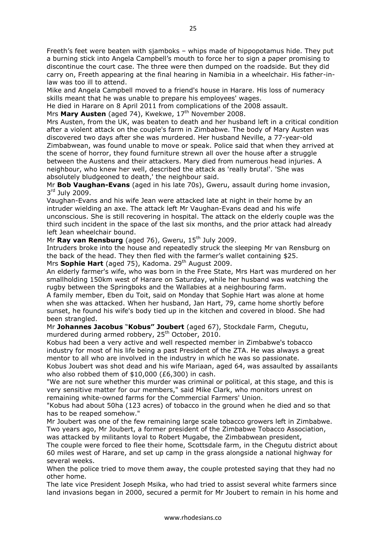Freeth's feet were beaten with sjamboks – whips made of hippopotamus hide. They put a burning stick into Angela Campbell's mouth to force her to sign a paper promising to discontinue the court case. The three were then dumped on the roadside. But they did carry on, Freeth appearing at the final hearing in Namibia in a wheelchair. His father-inlaw was too ill to attend.

Mike and Angela Campbell moved to a friend's house in Harare. His loss of numeracy skills meant that he was unable to prepare his employees' wages.

He died in Harare on 8 April 2011 from complications of the 2008 assault.

Mrs Mary Austen (aged 74), Kwekwe, 17<sup>th</sup> November 2008.

Mrs Austen, from the UK, was beaten to death and her husband left in a critical condition after a violent attack on the couple's farm in Zimbabwe. The body of Mary Austen was discovered two days after she was murdered. Her husband Neville, a 77-year-old Zimbabwean, was found unable to move or speak. Police said that when they arrived at the scene of horror, they found furniture strewn all over the house after a struggle between the Austens and their attackers. Mary died from numerous head injuries. A neighbour, who knew her well, described the attack as 'really brutal'. 'She was absolutely bludgeoned to death,' the neighbour said.

Mr **Bob Vaughan-Evans** (aged in his late 70s), Gweru, assault during home invasion, 3r<sup>d</sup> July 2009.

Vaughan-Evans and his wife Jean were attacked late at night in their home by an intruder wielding an axe. The attack left Mr Vaughan-Evans dead and his wife unconscious. She is still recovering in hospital. The attack on the elderly couple was the third such incident in the space of the last six months, and the prior attack had already left Jean wheelchair bound.

Mr **Ray van Rensburg** (aged 76), Gweru, 15<sup>th</sup> July 2009.

Intruders broke into the house and repeatedly struck the sleeping Mr van Rensburg on the back of the head. They then fled with the farmer's wallet containing \$25. Mrs **Sophie Hart** (aged 75), Kadoma. 29<sup>th</sup> August 2009.

An elderly farmer's wife, who was born in the Free State, Mrs Hart was murdered on her smallholding 150km west of Harare on Saturday, while her husband was watching the rugby between the Springboks and the Wallabies at a neighbouring farm.

A family member, Eben du Toit, said on Monday that Sophie Hart was alone at home when she was attacked. When her husband, Jan Hart, 79, came home shortly before sunset, he found his wife's body tied up in the kitchen and covered in blood. She had been strangled.

Mr **Johannes Jacobus** "**Kobus" Joubert** (aged 67), Stockdale Farm, Chegutu, murdered during armed robbery, 25<sup>th</sup> October, 2010.

Kobus had been a very active and well respected member in Zimbabwe's tobacco industry for most of his life being a past President of the ZTA. He was always a great mentor to all who are involved in the industry in which he was so passionate.

Kobus Joubert was shot dead and his wife Mariaan, aged 64, was assaulted by assailants who also robbed them of \$10,000 (£6,300) in cash.

"We are not sure whether this murder was criminal or political, at this stage, and this is very sensitive matter for our members," said Mike Clark, who monitors unrest on remaining white-owned farms for the Commercial Farmers' Union.

"Kobus had about 50ha (123 acres) of tobacco in the ground when he died and so that has to be reaped somehow."

Mr Joubert was one of the few remaining large scale tobacco growers left in Zimbabwe. Two years ago, Mr Joubert, a former president of the Zimbabwe Tobacco Association, was attacked by militants loyal to Robert Mugabe, the Zimbabwean president,

The couple were forced to flee their home, Scottsdale farm, in the Chegutu district about 60 miles west of Harare, and set up camp in the grass alongside a national highway for several weeks.

When the police tried to move them away, the couple protested saying that they had no other home.

The late vice President Joseph Msika, who had tried to assist several white farmers since land invasions began in 2000, secured a permit for Mr Joubert to remain in his home and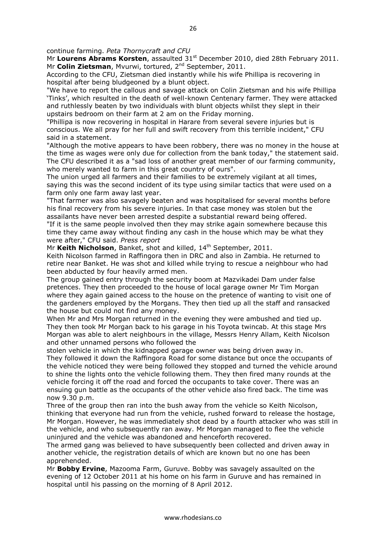continue farming. *Peta Thornycraft and CFU*

Mr Lourens Abrams Korsten, assaulted 31<sup>st</sup> December 2010, died 28th February 2011. Mr **Colin Zietsman**, Mvurwi, tortured, 2<sup>nd</sup> September, 2011.

According to the CFU, Zietsman died instantly while his wife Phillipa is recovering in hospital after being bludgeoned by a blunt object.

"We have to report the callous and savage attack on Colin Zietsman and his wife Phillipa 'Tinks', which resulted in the death of well-known Centenary farmer. They were attacked and ruthlessly beaten by two individuals with blunt objects whilst they slept in their upstairs bedroom on their farm at 2 am on the Friday morning.

"Phillipa is now recovering in hospital in Harare from several severe injuries but is conscious. We all pray for her full and swift recovery from this terrible incident," CFU said in a statement.

"Although the motive appears to have been robbery, there was no money in the house at the time as wages were only due for collection from the bank today," the statement said. The CFU described it as a "sad loss of another great member of our farming community, who merely wanted to farm in this great country of ours".

The union urged all farmers and their families to be extremely vigilant at all times, saying this was the second incident of its type using similar tactics that were used on a farm only one farm away last year.

"That farmer was also savagely beaten and was hospitalised for several months before his final recovery from his severe injuries. In that case money was stolen but the assailants have never been arrested despite a substantial reward being offered.

"If it is the same people involved then they may strike again somewhere because this time they came away without finding any cash in the house which may be what they were after," CFU said. *Press report*

Mr Keith Nicholson, Banket, shot and killed, 14<sup>th</sup> September, 2011.

Keith Nicolson farmed in Raffingora then in DRC and also in Zambia. He returned to retire near Banket. He was shot and killed while trying to rescue a neighbour who had been abducted by four heavily armed men.

The group gained entry through the security boom at Mazvikadei Dam under false pretences. They then proceeded to the house of local garage owner Mr Tim Morgan where they again gained access to the house on the pretence of wanting to visit one of the gardeners employed by the Morgans. They then tied up all the staff and ransacked the house but could not find any money.

When Mr and Mrs Morgan returned in the evening they were ambushed and tied up. They then took Mr Morgan back to his garage in his Toyota twincab. At this stage Mrs Morgan was able to alert neighbours in the village, Messrs Henry Allam, Keith Nicolson and other unnamed persons who followed the

stolen vehicle in which the kidnapped garage owner was being driven away in. They followed it down the Raffingora Road for some distance but once the occupants of the vehicle noticed they were being followed they stopped and turned the vehicle around to shine the lights onto the vehicle following them. They then fired many rounds at the vehicle forcing it off the road and forced the occupants to take cover. There was an ensuing gun battle as the occupants of the other vehicle also fired back. The time was now 9.30 p.m.

Three of the group then ran into the bush away from the vehicle so Keith Nicolson, thinking that everyone had run from the vehicle, rushed forward to release the hostage, Mr Morgan. However, he was immediately shot dead by a fourth attacker who was still in the vehicle, and who subsequently ran away. Mr Morgan managed to flee the vehicle uninjured and the vehicle was abandoned and henceforth recovered.

The armed gang was believed to have subsequently been collected and driven away in another vehicle, the registration details of which are known but no one has been apprehended.

Mr **Bobby Ervine**, Mazooma Farm, Guruve. Bobby was savagely assaulted on the evening of 12 October 2011 at his home on his farm in Guruve and has remained in hospital until his passing on the morning of 8 April 2012.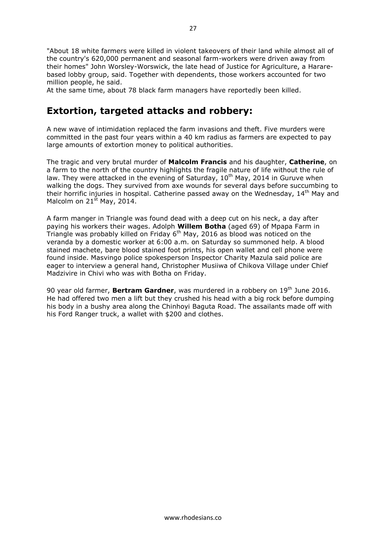"About 18 white farmers were killed in violent takeovers of their land while almost all of the country's 620,000 permanent and seasonal farm-workers were driven away from their homes" John Worsley-Worswick, the late head of Justice for Agriculture, a Hararebased lobby group, said. Together with dependents, those workers accounted for two million people, he said.

At the same time, about 78 black farm managers have reportedly been killed.

# **Extortion, targeted attacks and robbery:**

A new wave of intimidation replaced the farm invasions and theft. Five murders were committed in the past four years within a 40 km radius as farmers are expected to pay large amounts of extortion money to political authorities.

The tragic and very brutal murder of **Malcolm Francis** and his daughter, **Catherine**, on a farm to the north of the country highlights the fragile nature of life without the rule of law. They were attacked in the evening of Saturday,  $10^{th}$  May, 2014 in Guruve when walking the dogs. They survived from axe wounds for several days before succumbing to their horrific injuries in hospital. Catherine passed away on the Wednesday,  $14<sup>th</sup>$  May and Malcolm on  $21^{st}$  May, 2014.

A farm manger in Triangle was found dead with a deep cut on his neck, a day after paying his workers their wages. Adolph **Willem Botha** (aged 69) of Mpapa Farm in Triangle was probably killed on Friday  $6<sup>th</sup>$  May, 2016 as blood was noticed on the veranda by a domestic worker at 6:00 a.m. on Saturday so summoned help. A blood stained machete, bare blood stained foot prints, his open wallet and cell phone were found inside. Masvingo police spokesperson Inspector Charity Mazula said police are eager to interview a general hand, Christopher Musiiwa of Chikova Village under Chief Madzivire in Chivi who was with Botha on Friday.

90 year old farmer, **Bertram Gardner**, was murdered in a robbery on 19<sup>th</sup> June 2016. He had offered two men a lift but they crushed his head with a big rock before dumping his body in a bushy area along the Chinhoyi Baguta Road. The assailants made off with his Ford Ranger truck, a wallet with \$200 and clothes.